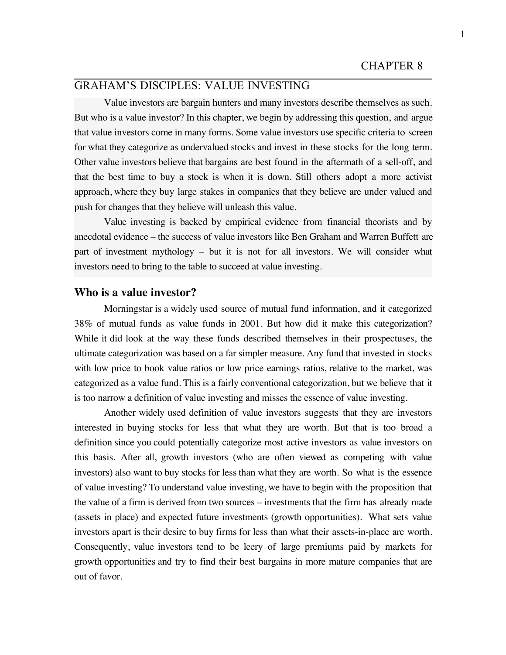# GRAHAM'S DISCIPLES: VALUE INVESTING

Value investors are bargain hunters and many investors describe themselves as such. But who is a value investor? In this chapter, we begin by addressing this question, and argue that value investors come in many forms. Some value investors use specific criteria to screen for what they categorize as undervalued stocks and invest in these stocks for the long term. Other value investors believe that bargains are best found in the aftermath of a sell-off, and that the best time to buy a stock is when it is down. Still others adopt a more activist approach, where they buy large stakes in companies that they believe are under valued and push for changes that they believe will unleash this value.

Value investing is backed by empirical evidence from financial theorists and by anecdotal evidence – the success of value investors like Ben Graham and Warren Buffett are part of investment mythology – but it is not for all investors. We will consider what investors need to bring to the table to succeed at value investing.

### **Who is a value investor?**

Morningstar is a widely used source of mutual fund information, and it categorized 38% of mutual funds as value funds in 2001. But how did it make this categorization? While it did look at the way these funds described themselves in their prospectuses, the ultimate categorization was based on a far simpler measure. Any fund that invested in stocks with low price to book value ratios or low price earnings ratios, relative to the market, was categorized as a value fund. This is a fairly conventional categorization, but we believe that it is too narrow a definition of value investing and misses the essence of value investing.

Another widely used definition of value investors suggests that they are investors interested in buying stocks for less that what they are worth. But that is too broad a definition since you could potentially categorize most active investors as value investors on this basis. After all, growth investors (who are often viewed as competing with value investors) also want to buy stocks for less than what they are worth. So what is the essence of value investing? To understand value investing, we have to begin with the proposition that the value of a firm is derived from two sources – investments that the firm has already made (assets in place) and expected future investments (growth opportunities). What sets value investors apart is their desire to buy firms for less than what their assets-in-place are worth. Consequently, value investors tend to be leery of large premiums paid by markets for growth opportunities and try to find their best bargains in more mature companies that are out of favor.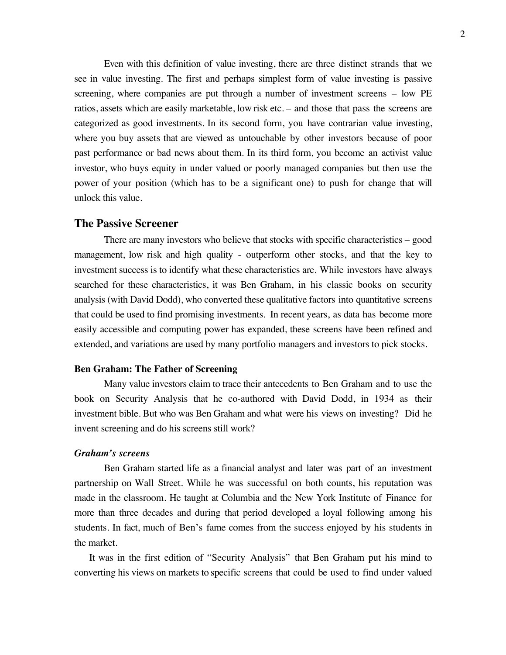Even with this definition of value investing, there are three distinct strands that we see in value investing. The first and perhaps simplest form of value investing is passive screening, where companies are put through a number of investment screens – low PE ratios, assets which are easily marketable, low risk etc. – and those that pass the screens are categorized as good investments. In its second form, you have contrarian value investing, where you buy assets that are viewed as untouchable by other investors because of poor past performance or bad news about them. In its third form, you become an activist value investor, who buys equity in under valued or poorly managed companies but then use the power of your position (which has to be a significant one) to push for change that will unlock this value.

### **The Passive Screener**

There are many investors who believe that stocks with specific characteristics – good management, low risk and high quality - outperform other stocks, and that the key to investment success is to identify what these characteristics are. While investors have always searched for these characteristics, it was Ben Graham, in his classic books on security analysis (with David Dodd), who converted these qualitative factors into quantitative screens that could be used to find promising investments. In recent years, as data has become more easily accessible and computing power has expanded, these screens have been refined and extended, and variations are used by many portfolio managers and investors to pick stocks.

### **Ben Graham: The Father of Screening**

Many value investors claim to trace their antecedents to Ben Graham and to use the book on Security Analysis that he co-authored with David Dodd, in 1934 as their investment bible. But who was Ben Graham and what were his views on investing? Did he invent screening and do his screens still work?

#### *Graham's screens*

Ben Graham started life as a financial analyst and later was part of an investment partnership on Wall Street. While he was successful on both counts, his reputation was made in the classroom. He taught at Columbia and the New York Institute of Finance for more than three decades and during that period developed a loyal following among his students. In fact, much of Ben's fame comes from the success enjoyed by his students in the market.

It was in the first edition of "Security Analysis" that Ben Graham put his mind to converting his views on markets to specific screens that could be used to find under valued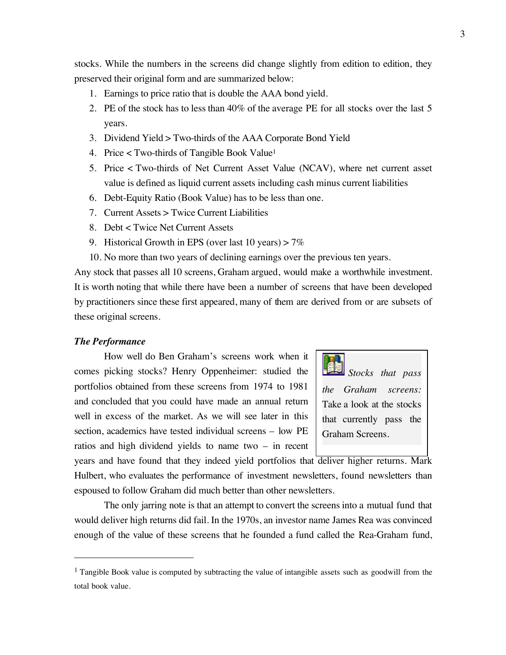stocks. While the numbers in the screens did change slightly from edition to edition, they preserved their original form and are summarized below:

- 1. Earnings to price ratio that is double the AAA bond yield.
- 2. PE of the stock has to less than 40% of the average PE for all stocks over the last 5 years.
- 3. Dividend Yield > Two-thirds of the AAA Corporate Bond Yield
- 4. Price < Two-thirds of Tangible Book Value1
- 5. Price < Two-thirds of Net Current Asset Value (NCAV), where net current asset value is defined as liquid current assets including cash minus current liabilities
- 6. Debt-Equity Ratio (Book Value) has to be less than one.
- 7. Current Assets > Twice Current Liabilities
- 8. Debt < Twice Net Current Assets
- 9. Historical Growth in EPS (over last 10 years)  $> 7\%$
- 10. No more than two years of declining earnings over the previous ten years.

Any stock that passes all 10 screens, Graham argued, would make a worthwhile investment. It is worth noting that while there have been a number of screens that have been developed by practitioners since these first appeared, many of them are derived from or are subsets of these original screens.

### *The Performance*

 $\overline{a}$ 

How well do Ben Graham's screens work when it comes picking stocks? Henry Oppenheimer: studied the portfolios obtained from these screens from 1974 to 1981 and concluded that you could have made an annual return well in excess of the market. As we will see later in this section, academics have tested individual screens – low PE ratios and high dividend yields to name two – in recent



Graham Screens.

years and have found that they indeed yield portfolios that deliver higher returns. Mark Hulbert, who evaluates the performance of investment newsletters, found newsletters than espoused to follow Graham did much better than other newsletters.

The only jarring note is that an attempt to convert the screens into a mutual fund that would deliver high returns did fail. In the 1970s, an investor name James Rea was convinced enough of the value of these screens that he founded a fund called the Rea-Graham fund,

<sup>&</sup>lt;sup>1</sup> Tangible Book value is computed by subtracting the value of intangible assets such as goodwill from the total book value.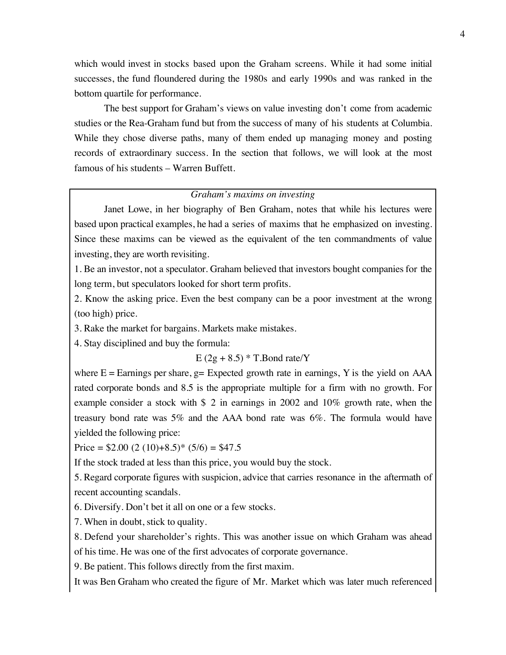which would invest in stocks based upon the Graham screens. While it had some initial successes, the fund floundered during the 1980s and early 1990s and was ranked in the bottom quartile for performance.

The best support for Graham's views on value investing don't come from academic studies or the Rea-Graham fund but from the success of many of his students at Columbia. While they chose diverse paths, many of them ended up managing money and posting records of extraordinary success. In the section that follows, we will look at the most famous of his students – Warren Buffett.

### *Graham's maxims on investing*

Janet Lowe, in her biography of Ben Graham, notes that while his lectures were based upon practical examples, he had a series of maxims that he emphasized on investing. Since these maxims can be viewed as the equivalent of the ten commandments of value investing, they are worth revisiting.

1. Be an investor, not a speculator. Graham believed that investors bought companies for the long term, but speculators looked for short term profits.

2. Know the asking price. Even the best company can be a poor investment at the wrong (too high) price.

3. Rake the market for bargains. Markets make mistakes.

4. Stay disciplined and buy the formula:

 $E (2g + 8.5) * T$ . Bond rate/Y

where  $E =$  Earnings per share,  $g =$  Expected growth rate in earnings, Y is the yield on AAA rated corporate bonds and 8.5 is the appropriate multiple for a firm with no growth. For example consider a stock with \$ 2 in earnings in 2002 and 10% growth rate, when the treasury bond rate was 5% and the AAA bond rate was 6%. The formula would have yielded the following price:

Price =  $$2.00 (2 (10)+8.5)* (5/6) = $47.5$ 

If the stock traded at less than this price, you would buy the stock.

5. Regard corporate figures with suspicion, advice that carries resonance in the aftermath of recent accounting scandals.

6. Diversify. Don't bet it all on one or a few stocks.

7. When in doubt, stick to quality.

8. Defend your shareholder's rights. This was another issue on which Graham was ahead of his time. He was one of the first advocates of corporate governance.

9. Be patient. This follows directly from the first maxim.

It was Ben Graham who created the figure of Mr. Market which was later much referenced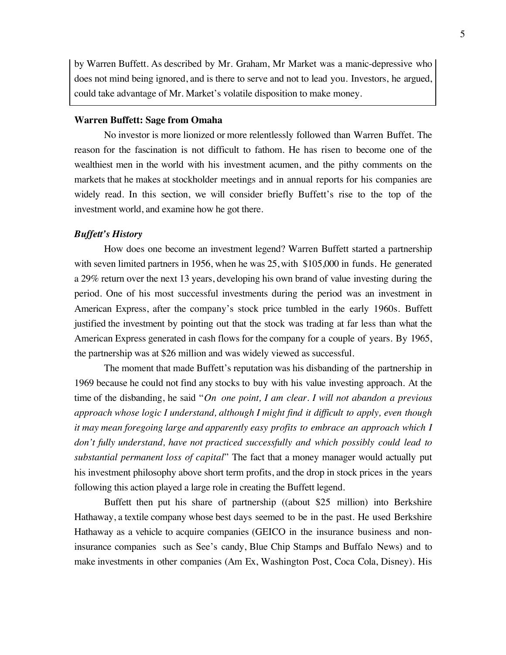by Warren Buffett. As described by Mr. Graham, Mr Market was a manic-depressive who does not mind being ignored, and is there to serve and not to lead you. Investors, he argued, could take advantage of Mr. Market's volatile disposition to make money.

#### **Warren Buffett: Sage from Omaha**

No investor is more lionized or more relentlessly followed than Warren Buffet. The reason for the fascination is not difficult to fathom. He has risen to become one of the wealthiest men in the world with his investment acumen, and the pithy comments on the markets that he makes at stockholder meetings and in annual reports for his companies are widely read. In this section, we will consider briefly Buffett's rise to the top of the investment world, and examine how he got there.

#### *Buffett's History*

How does one become an investment legend? Warren Buffett started a partnership with seven limited partners in 1956, when he was 25, with \$105,000 in funds. He generated a 29% return over the next 13 years, developing his own brand of value investing during the period. One of his most successful investments during the period was an investment in American Express, after the company's stock price tumbled in the early 1960s. Buffett justified the investment by pointing out that the stock was trading at far less than what the American Express generated in cash flows for the company for a couple of years. By 1965, the partnership was at \$26 million and was widely viewed as successful.

The moment that made Buffett's reputation was his disbanding of the partnership in 1969 because he could not find any stocks to buy with his value investing approach. At the time of the disbanding, he said "*On one point, I am clear. I will not abandon a previous approach whose logic I understand, although I might find it difficult to apply, even though it may mean foregoing large and apparently easy profits to embrace an approach which I don't fully understand, have not practiced successfully and which possibly could lead to substantial permanent loss of capital*" The fact that a money manager would actually put his investment philosophy above short term profits, and the drop in stock prices in the years following this action played a large role in creating the Buffett legend.

Buffett then put his share of partnership ((about \$25 million) into Berkshire Hathaway, a textile company whose best days seemed to be in the past. He used Berkshire Hathaway as a vehicle to acquire companies (GEICO in the insurance business and noninsurance companies such as See's candy, Blue Chip Stamps and Buffalo News) and to make investments in other companies (Am Ex, Washington Post, Coca Cola, Disney). His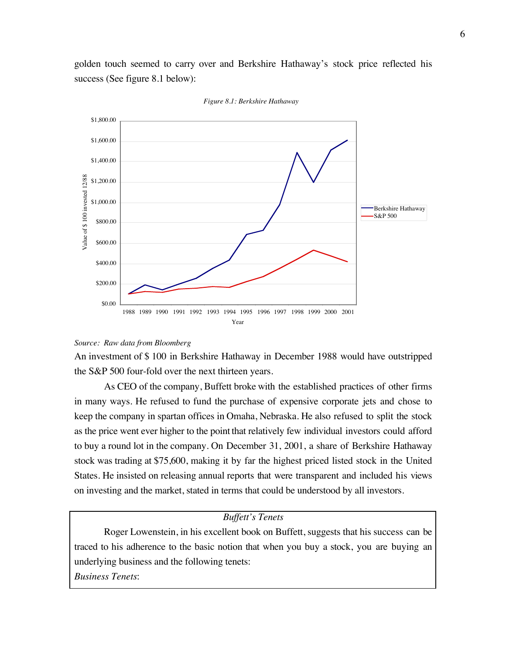golden touch seemed to carry over and Berkshire Hathaway's stock price reflected his success (See figure 8.1 below):



*Figure 8.1: Berkshire Hathaway*

#### *Source: Raw data from Bloomberg*

An investment of \$ 100 in Berkshire Hathaway in December 1988 would have outstripped the S&P 500 four-fold over the next thirteen years.

As CEO of the company, Buffett broke with the established practices of other firms in many ways. He refused to fund the purchase of expensive corporate jets and chose to keep the company in spartan offices in Omaha, Nebraska. He also refused to split the stock as the price went ever higher to the point that relatively few individual investors could afford to buy a round lot in the company. On December 31, 2001, a share of Berkshire Hathaway stock was trading at \$75,600, making it by far the highest priced listed stock in the United States. He insisted on releasing annual reports that were transparent and included his views on investing and the market, stated in terms that could be understood by all investors.

### *Buffett's Tenets*

Roger Lowenstein, in his excellent book on Buffett, suggests that his success can be traced to his adherence to the basic notion that when you buy a stock, you are buying an underlying business and the following tenets:

*Business Tenets*: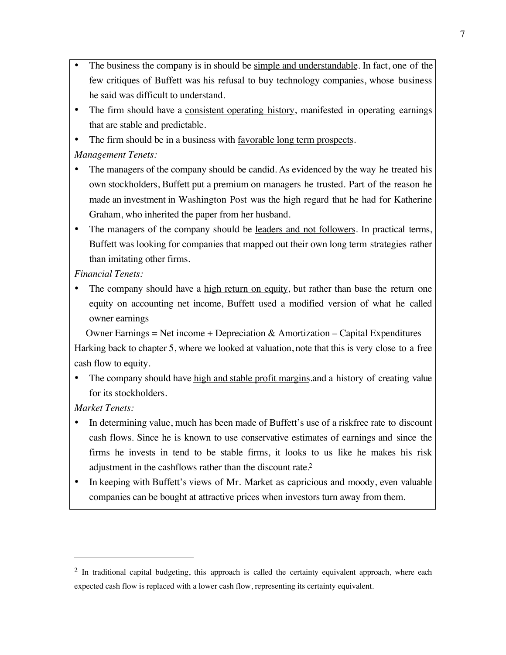- The business the company is in should be simple and understandable. In fact, one of the few critiques of Buffett was his refusal to buy technology companies, whose business he said was difficult to understand.
- The firm should have a consistent operating history, manifested in operating earnings that are stable and predictable.
- The firm should be in a business with <u>favorable long term prospects</u>. *Management Tenets:*
- The managers of the company should be candid. As evidenced by the way he treated his own stockholders, Buffett put a premium on managers he trusted. Part of the reason he made an investment in Washington Post was the high regard that he had for Katherine Graham, who inherited the paper from her husband.
- The managers of the company should be <u>leaders and not followers</u>. In practical terms, Buffett was looking for companies that mapped out their own long term strategies rather than imitating other firms.

*Financial Tenets:*

The company should have a high return on equity, but rather than base the return one equity on accounting net income, Buffett used a modified version of what he called owner earnings

Owner Earnings = Net income  $+$  Depreciation & Amortization – Capital Expenditures Harking back to chapter 5, where we looked at valuation, note that this is very close to a free cash flow to equity.

• The company should have high and stable profit margins and a history of creating value for its stockholders.

*Market Tenets:*

 $\overline{a}$ 

- In determining value, much has been made of Buffett's use of a riskfree rate to discount cash flows. Since he is known to use conservative estimates of earnings and since the firms he invests in tend to be stable firms, it looks to us like he makes his risk adjustment in the cashflows rather than the discount rate.<sup>2</sup>
- In keeping with Buffett's views of Mr. Market as capricious and moody, even valuable companies can be bought at attractive prices when investors turn away from them.

<sup>&</sup>lt;sup>2</sup> In traditional capital budgeting, this approach is called the certainty equivalent approach, where each expected cash flow is replaced with a lower cash flow, representing its certainty equivalent.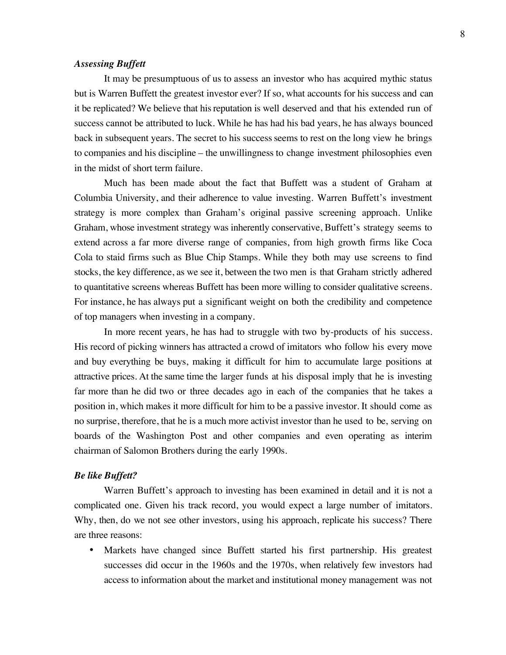### *Assessing Buffett*

It may be presumptuous of us to assess an investor who has acquired mythic status but is Warren Buffett the greatest investor ever? If so, what accounts for his success and can it be replicated? We believe that his reputation is well deserved and that his extended run of success cannot be attributed to luck. While he has had his bad years, he has always bounced back in subsequent years. The secret to his success seems to rest on the long view he brings to companies and his discipline – the unwillingness to change investment philosophies even in the midst of short term failure.

Much has been made about the fact that Buffett was a student of Graham at Columbia University, and their adherence to value investing. Warren Buffett's investment strategy is more complex than Graham's original passive screening approach. Unlike Graham, whose investment strategy was inherently conservative, Buffett's strategy seems to extend across a far more diverse range of companies, from high growth firms like Coca Cola to staid firms such as Blue Chip Stamps. While they both may use screens to find stocks, the key difference, as we see it, between the two men is that Graham strictly adhered to quantitative screens whereas Buffett has been more willing to consider qualitative screens. For instance, he has always put a significant weight on both the credibility and competence of top managers when investing in a company.

In more recent years, he has had to struggle with two by-products of his success. His record of picking winners has attracted a crowd of imitators who follow his every move and buy everything be buys, making it difficult for him to accumulate large positions at attractive prices. At the same time the larger funds at his disposal imply that he is investing far more than he did two or three decades ago in each of the companies that he takes a position in, which makes it more difficult for him to be a passive investor. It should come as no surprise, therefore, that he is a much more activist investor than he used to be, serving on boards of the Washington Post and other companies and even operating as interim chairman of Salomon Brothers during the early 1990s.

#### *Be like Buffett?*

Warren Buffett's approach to investing has been examined in detail and it is not a complicated one. Given his track record, you would expect a large number of imitators. Why, then, do we not see other investors, using his approach, replicate his success? There are three reasons:

Markets have changed since Buffett started his first partnership. His greatest successes did occur in the 1960s and the 1970s, when relatively few investors had access to information about the market and institutional money management was not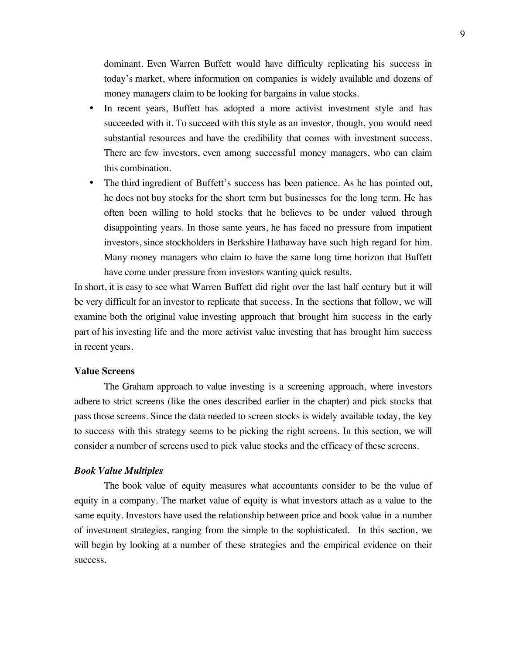dominant. Even Warren Buffett would have difficulty replicating his success in today's market, where information on companies is widely available and dozens of money managers claim to be looking for bargains in value stocks.

- In recent years, Buffett has adopted a more activist investment style and has succeeded with it. To succeed with this style as an investor, though, you would need substantial resources and have the credibility that comes with investment success. There are few investors, even among successful money managers, who can claim this combination.
- The third ingredient of Buffett's success has been patience. As he has pointed out, he does not buy stocks for the short term but businesses for the long term. He has often been willing to hold stocks that he believes to be under valued through disappointing years. In those same years, he has faced no pressure from impatient investors, since stockholders in Berkshire Hathaway have such high regard for him. Many money managers who claim to have the same long time horizon that Buffett have come under pressure from investors wanting quick results.

In short, it is easy to see what Warren Buffett did right over the last half century but it will be very difficult for an investor to replicate that success. In the sections that follow, we will examine both the original value investing approach that brought him success in the early part of his investing life and the more activist value investing that has brought him success in recent years.

#### **Value Screens**

The Graham approach to value investing is a screening approach, where investors adhere to strict screens (like the ones described earlier in the chapter) and pick stocks that pass those screens. Since the data needed to screen stocks is widely available today, the key to success with this strategy seems to be picking the right screens. In this section, we will consider a number of screens used to pick value stocks and the efficacy of these screens.

#### *Book Value Multiples*

The book value of equity measures what accountants consider to be the value of equity in a company. The market value of equity is what investors attach as a value to the same equity. Investors have used the relationship between price and book value in a number of investment strategies, ranging from the simple to the sophisticated. In this section, we will begin by looking at a number of these strategies and the empirical evidence on their success.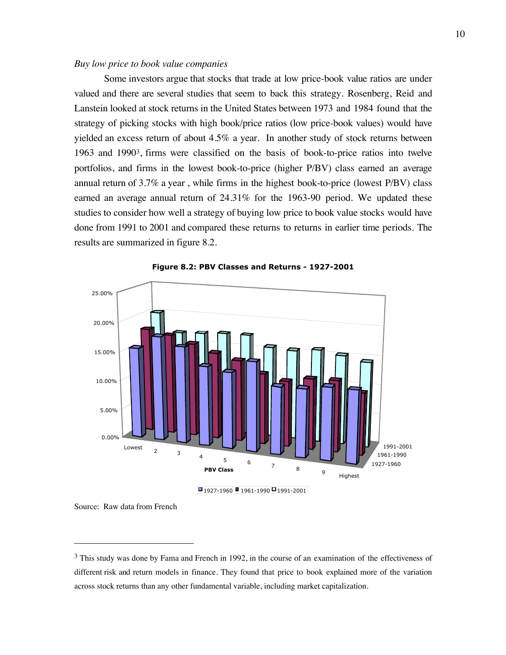#### *Buy low price to book value companies*

Some investors argue that stocks that trade at low price-book value ratios are under valued and there are several studies that seem to back this strategy. Rosenberg, Reid and Lanstein looked at stock returns in the United States between 1973 and 1984 found that the strategy of picking stocks with high book/price ratios (low price-book values) would have yielded an excess return of about 4.5% a year. In another study of stock returns between 1963 and 19903, firms were classified on the basis of book-to-price ratios into twelve portfolios, and firms in the lowest book-to-price (higher P/BV) class earned an average annual return of 3.7% a year , while firms in the highest book-to-price (lowest P/BV) class earned an average annual return of 24.31% for the 1963-90 period. We updated these studies to consider how well a strategy of buying low price to book value stocks would have done from 1991 to 2001 and compared these returns to returns in earlier time periods. The results are summarized in figure 8.2.





Source: Raw data from French

 $\overline{a}$ 

 $3$  This study was done by Fama and French in 1992, in the course of an examination of the effectiveness of different risk and return models in finance. They found that price to book explained more of the variation across stock returns than any other fundamental variable, including market capitalization.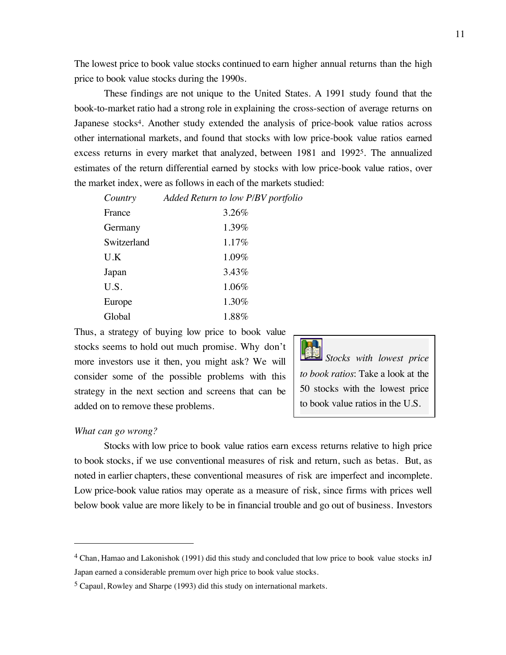The lowest price to book value stocks continued to earn higher annual returns than the high price to book value stocks during the 1990s.

These findings are not unique to the United States. A 1991 study found that the book-to-market ratio had a strong role in explaining the cross-section of average returns on Japanese stocks4. Another study extended the analysis of price-book value ratios across other international markets, and found that stocks with low price-book value ratios earned excess returns in every market that analyzed, between 1981 and 19925. The annualized estimates of the return differential earned by stocks with low price-book value ratios, over the market index, were as follows in each of the markets studied:

| Country     | Added Return to low P/BV portfolio |
|-------------|------------------------------------|
| France      | 3.26%                              |
| Germany     | 1.39%                              |
| Switzerland | 1.17%                              |
| U.K         | $1.09\%$                           |
| Japan       | 3.43%                              |
| U.S.        | 1.06%                              |
| Europe      | 1.30%                              |
| Global      | 1.88%                              |

Thus, a strategy of buying low price to book value stocks seems to hold out much promise. Why don't more investors use it then, you might ask? We will consider some of the possible problems with this strategy in the next section and screens that can be added on to remove these problems.

*Stocks with lowest price to book ratios*: Take a look at the 50 stocks with the lowest price to book value ratios in the U.S.

#### *What can go wrong?*

 $\overline{a}$ 

Stocks with low price to book value ratios earn excess returns relative to high price to book stocks, if we use conventional measures of risk and return, such as betas. But, as noted in earlier chapters, these conventional measures of risk are imperfect and incomplete. Low price-book value ratios may operate as a measure of risk, since firms with prices well below book value are more likely to be in financial trouble and go out of business. Investors

<sup>4</sup> Chan, Hamao and Lakonishok (1991) did this study and concluded that low price to book value stocks inJ Japan earned a considerable premum over high price to book value stocks.

 $5$  Capaul, Rowley and Sharpe (1993) did this study on international markets.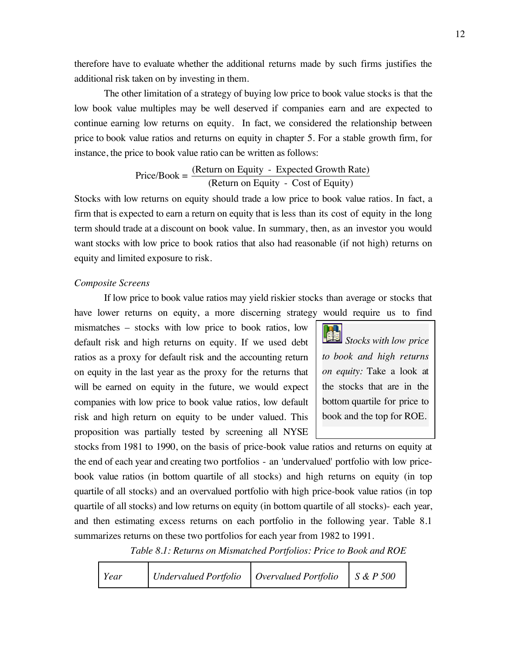therefore have to evaluate whether the additional returns made by such firms justifies the additional risk taken on by investing in them.

The other limitation of a strategy of buying low price to book value stocks is that the low book value multiples may be well deserved if companies earn and are expected to continue earning low returns on equity. In fact, we considered the relationship between price to book value ratios and returns on equity in chapter 5. For a stable growth firm, for instance, the price to book value ratio can be written as follows:

$$
Price/Book = \frac{(Return on Equity - Expected Growth Rate)}{(Return on Equity - Cost of Equity)}
$$

Stocks with low returns on equity should trade a low price to book value ratios. In fact, a firm that is expected to earn a return on equity that is less than its cost of equity in the long term should trade at a discount on book value. In summary, then, as an investor you would want stocks with low price to book ratios that also had reasonable (if not high) returns on equity and limited exposure to risk.

# *Composite Screens*

If low price to book value ratios may yield riskier stocks than average or stocks that have lower returns on equity, a more discerning strategy would require us to find

mismatches – stocks with low price to book ratios, low default risk and high returns on equity. If we used debt ratios as a proxy for default risk and the accounting return on equity in the last year as the proxy for the returns that will be earned on equity in the future, we would expect companies with low price to book value ratios, low default risk and high return on equity to be under valued. This proposition was partially tested by screening all NYSE

*Stocks with low price to book and high returns on equity:* Take a look at the stocks that are in the bottom quartile for price to book and the top for ROE.

stocks from 1981 to 1990, on the basis of price-book value ratios and returns on equity at the end of each year and creating two portfolios - an 'undervalued' portfolio with low pricebook value ratios (in bottom quartile of all stocks) and high returns on equity (in top quartile of all stocks) and an overvalued portfolio with high price-book value ratios (in top quartile of all stocks) and low returns on equity (in bottom quartile of all stocks)- each year, and then estimating excess returns on each portfolio in the following year. Table 8.1 summarizes returns on these two portfolios for each year from 1982 to 1991.

*Table 8.1: Returns on Mismatched Portfolios: Price to Book and ROE*

| Year | Undervalued Portfolio   Overvalued Portfolio | S & P 500 |
|------|----------------------------------------------|-----------|
|------|----------------------------------------------|-----------|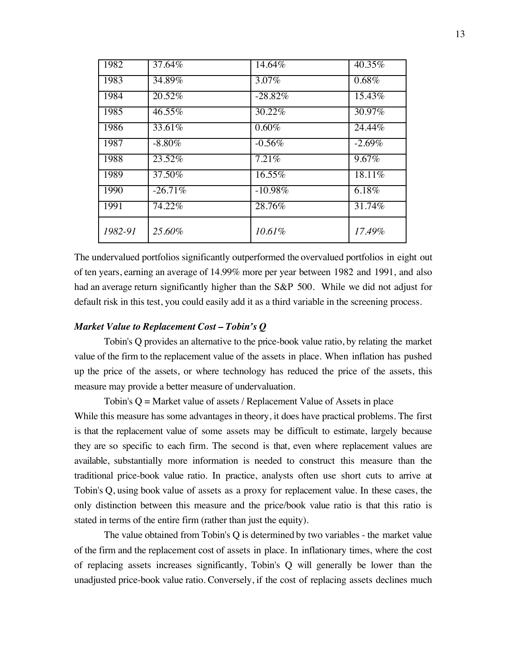| 1982    | 37.64%     | 14.64%     | 40.35%    |
|---------|------------|------------|-----------|
| 1983    | 34.89%     | $3.07\%$   | $0.68\%$  |
| 1984    | 20.52%     | $-28.82\%$ | 15.43%    |
| 1985    | 46.55%     | 30.22%     | 30.97%    |
| 1986    | $33.61\%$  | $0.60\%$   | 24.44%    |
| 1987    | $-8.80\%$  | $-0.56%$   | $-2.69\%$ |
| 1988    | 23.52%     | 7.21%      | 9.67%     |
| 1989    | 37.50%     | 16.55%     | 18.11%    |
| 1990    | $-26.71\%$ | $-10.98\%$ | $6.18\%$  |
| 1991    | 74.22%     | 28.76%     | 31.74%    |
| 1982-91 | 25.60%     | 10.61%     | 17.49%    |

The undervalued portfolios significantly outperformed the overvalued portfolios in eight out of ten years, earning an average of 14.99% more per year between 1982 and 1991, and also had an average return significantly higher than the S&P 500. While we did not adjust for default risk in this test, you could easily add it as a third variable in the screening process.

## *Market Value to Replacement Cost – Tobin's Q*

Tobin's Q provides an alternative to the price-book value ratio, by relating the market value of the firm to the replacement value of the assets in place. When inflation has pushed up the price of the assets, or where technology has reduced the price of the assets, this measure may provide a better measure of undervaluation.

Tobin's Q = Market value of assets / Replacement Value of Assets in place While this measure has some advantages in theory, it does have practical problems. The first is that the replacement value of some assets may be difficult to estimate, largely because they are so specific to each firm. The second is that, even where replacement values are available, substantially more information is needed to construct this measure than the traditional price-book value ratio. In practice, analysts often use short cuts to arrive at Tobin's Q, using book value of assets as a proxy for replacement value. In these cases, the only distinction between this measure and the price/book value ratio is that this ratio is stated in terms of the entire firm (rather than just the equity).

The value obtained from Tobin's Q is determined by two variables - the market value of the firm and the replacement cost of assets in place. In inflationary times, where the cost of replacing assets increases significantly, Tobin's Q will generally be lower than the unadjusted price-book value ratio. Conversely, if the cost of replacing assets declines much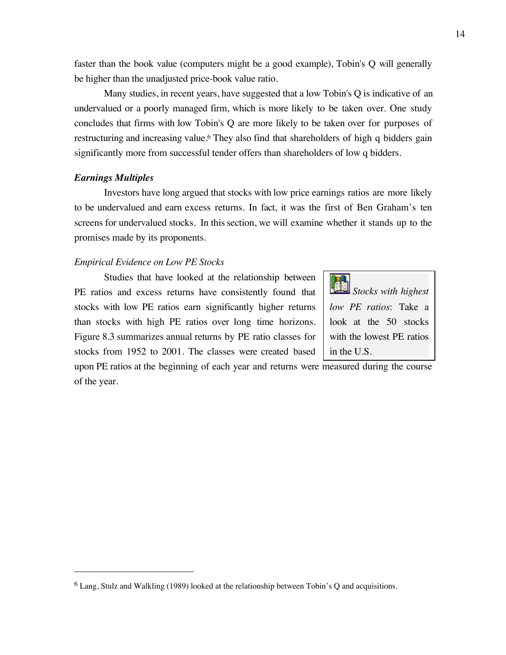faster than the book value (computers might be a good example), Tobin's Q will generally be higher than the unadjusted price-book value ratio.

Many studies, in recent years, have suggested that a low Tobin's Q is indicative of an undervalued or a poorly managed firm, which is more likely to be taken over. One study concludes that firms with low Tobin's Q are more likely to be taken over for purposes of restructuring and increasing value.<sup>6</sup> They also find that shareholders of high q bidders gain significantly more from successful tender offers than shareholders of low q bidders.

### *Earnings Multiples*

 $\overline{a}$ 

Investors have long argued that stocks with low price earnings ratios are more likely to be undervalued and earn excess returns. In fact, it was the first of Ben Graham's ten screens for undervalued stocks. In this section, we will examine whether it stands up to the promises made by its proponents.

#### *Empirical Evidence on Low PE Stocks*

Studies that have looked at the relationship between PE ratios and excess returns have consistently found that stocks with low PE ratios earn significantly higher returns than stocks with high PE ratios over long time horizons. Figure 8.3 summarizes annual returns by PE ratio classes for stocks from 1952 to 2001. The classes were created based



*Stocks with highest low PE ratios*: Take a look at the 50 stocks with the lowest PE ratios in the U.S.

upon PE ratios at the beginning of each year and returns were measured during the course of the year.

 $6$  Lang, Stulz and Walkling (1989) looked at the relationship between Tobin's Q and acquisitions.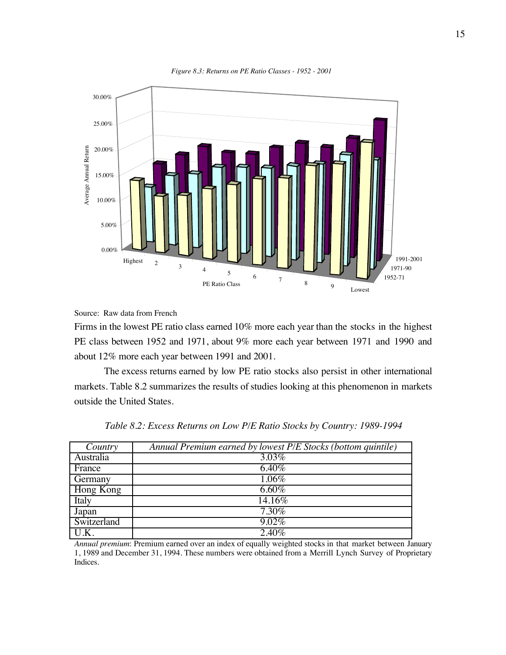

*Figure 8.3: Returns on PE Ratio Classes - 1952 - 2001*

Source: Raw data from French

Firms in the lowest PE ratio class earned 10% more each year than the stocks in the highest PE class between 1952 and 1971, about 9% more each year between 1971 and 1990 and about 12% more each year between 1991 and 2001.

The excess returns earned by low PE ratio stocks also persist in other international markets. Table 8.2 summarizes the results of studies looking at this phenomenon in markets outside the United States.

| Country     | Annual Premium earned by lowest P/E Stocks (bottom quintile) |
|-------------|--------------------------------------------------------------|
| Australia   | 3.03%                                                        |
| France      | $6.40\%$                                                     |
| Germany     | 1.06%                                                        |
| Hong Kong   | $6.60\%$                                                     |
| Italy       | 14.16%                                                       |
| Japan       | 7.30%                                                        |
| Switzerland | 9.02%                                                        |
| U.K.        | 2.40%                                                        |

*Table 8.2: Excess Returns on Low P/E Ratio Stocks by Country: 1989-1994*

*Annual premium*: Premium earned over an index of equally weighted stocks in that market between January 1, 1989 and December 31, 1994. These numbers were obtained from a Merrill Lynch Survey of Proprietary Indices.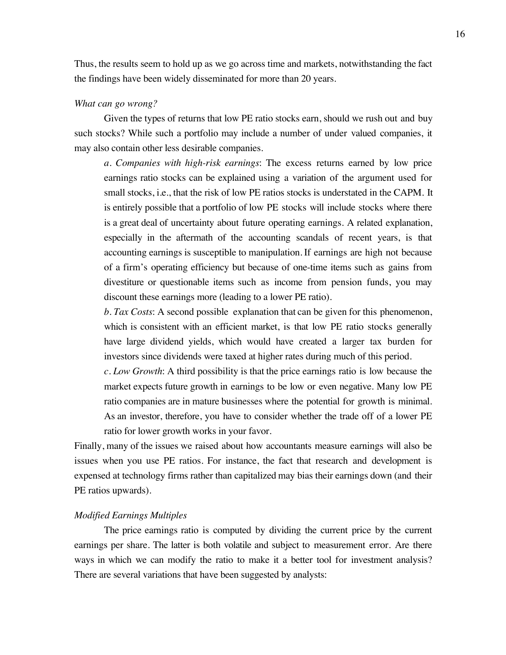Thus, the results seem to hold up as we go across time and markets, notwithstanding the fact the findings have been widely disseminated for more than 20 years.

#### *What can go wrong?*

Given the types of returns that low PE ratio stocks earn, should we rush out and buy such stocks? While such a portfolio may include a number of under valued companies, it may also contain other less desirable companies.

*a. Companies with high-risk earnings*: The excess returns earned by low price earnings ratio stocks can be explained using a variation of the argument used for small stocks, i.e., that the risk of low PE ratios stocks is understated in the CAPM. It is entirely possible that a portfolio of low PE stocks will include stocks where there is a great deal of uncertainty about future operating earnings. A related explanation, especially in the aftermath of the accounting scandals of recent years, is that accounting earnings is susceptible to manipulation. If earnings are high not because of a firm's operating efficiency but because of one-time items such as gains from divestiture or questionable items such as income from pension funds, you may discount these earnings more (leading to a lower PE ratio).

*b. Tax Costs*: A second possible explanation that can be given for this phenomenon, which is consistent with an efficient market, is that low PE ratio stocks generally have large dividend yields, which would have created a larger tax burden for investors since dividends were taxed at higher rates during much of this period.

*c. Low Growth*: A third possibility is that the price earnings ratio is low because the market expects future growth in earnings to be low or even negative. Many low PE ratio companies are in mature businesses where the potential for growth is minimal. As an investor, therefore, you have to consider whether the trade off of a lower PE ratio for lower growth works in your favor.

Finally, many of the issues we raised about how accountants measure earnings will also be issues when you use PE ratios. For instance, the fact that research and development is expensed at technology firms rather than capitalized may bias their earnings down (and their PE ratios upwards).

#### *Modified Earnings Multiples*

The price earnings ratio is computed by dividing the current price by the current earnings per share. The latter is both volatile and subject to measurement error. Are there ways in which we can modify the ratio to make it a better tool for investment analysis? There are several variations that have been suggested by analysts: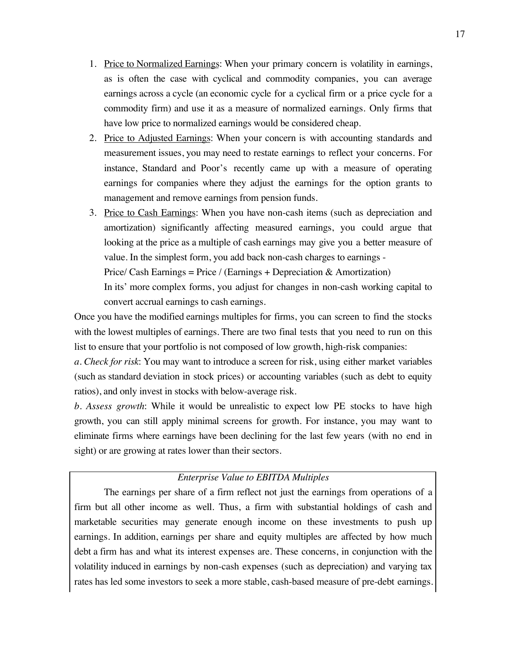- 1. Price to Normalized Earnings: When your primary concern is volatility in earnings, as is often the case with cyclical and commodity companies, you can average earnings across a cycle (an economic cycle for a cyclical firm or a price cycle for a commodity firm) and use it as a measure of normalized earnings. Only firms that have low price to normalized earnings would be considered cheap.
- 2. Price to Adjusted Earnings: When your concern is with accounting standards and measurement issues, you may need to restate earnings to reflect your concerns. For instance, Standard and Poor's recently came up with a measure of operating earnings for companies where they adjust the earnings for the option grants to management and remove earnings from pension funds.
- 3. Price to Cash Earnings: When you have non-cash items (such as depreciation and amortization) significantly affecting measured earnings, you could argue that looking at the price as a multiple of cash earnings may give you a better measure of value. In the simplest form, you add back non-cash charges to earnings -

Price/ Cash Earnings = Price / (Earnings + Depreciation & Amortization)

In its' more complex forms, you adjust for changes in non-cash working capital to convert accrual earnings to cash earnings.

Once you have the modified earnings multiples for firms, you can screen to find the stocks with the lowest multiples of earnings. There are two final tests that you need to run on this list to ensure that your portfolio is not composed of low growth, high-risk companies:

*a. Check for risk*: You may want to introduce a screen for risk, using either market variables (such as standard deviation in stock prices) or accounting variables (such as debt to equity ratios), and only invest in stocks with below-average risk.

*b. Assess growth*: While it would be unrealistic to expect low PE stocks to have high growth, you can still apply minimal screens for growth. For instance, you may want to eliminate firms where earnings have been declining for the last few years (with no end in sight) or are growing at rates lower than their sectors.

# *Enterprise Value to EBITDA Multiples*

The earnings per share of a firm reflect not just the earnings from operations of a firm but all other income as well. Thus, a firm with substantial holdings of cash and marketable securities may generate enough income on these investments to push up earnings. In addition, earnings per share and equity multiples are affected by how much debt a firm has and what its interest expenses are. These concerns, in conjunction with the volatility induced in earnings by non-cash expenses (such as depreciation) and varying tax rates has led some investors to seek a more stable, cash-based measure of pre-debt earnings.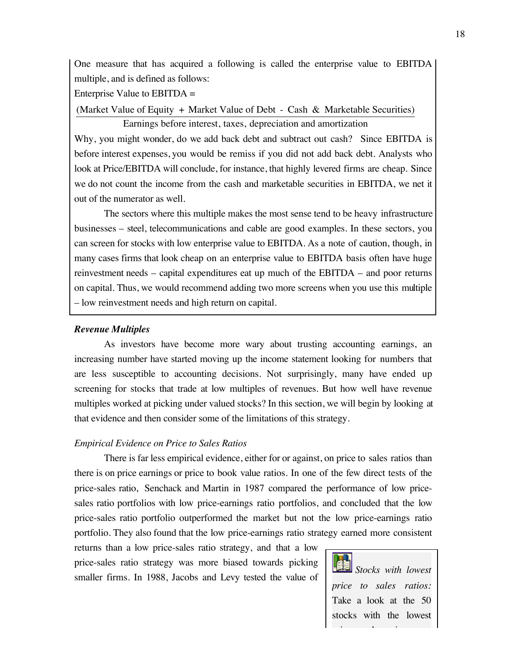One measure that has acquired a following is called the enterprise value to EBITDA multiple, and is defined as follows:

Enterprise Value to EBITDA =

(Market Value of Equity + Market Value of Debt - Cash & Marketable Securities)

Earnings before interest, taxes, depreciation and amortization Why, you might wonder, do we add back debt and subtract out cash? Since EBITDA is before interest expenses, you would be remiss if you did not add back debt. Analysts who look at Price/EBITDA will conclude, for instance, that highly levered firms are cheap. Since we do not count the income from the cash and marketable securities in EBITDA, we net it out of the numerator as well.

The sectors where this multiple makes the most sense tend to be heavy infrastructure businesses – steel, telecommunications and cable are good examples. In these sectors, you can screen for stocks with low enterprise value to EBITDA. As a note of caution, though, in many cases firms that look cheap on an enterprise value to EBITDA basis often have huge reinvestment needs – capital expenditures eat up much of the EBITDA – and poor returns on capital. Thus, we would recommend adding two more screens when you use this multiple – low reinvestment needs and high return on capital.

#### *Revenue Multiples*

As investors have become more wary about trusting accounting earnings, an increasing number have started moving up the income statement looking for numbers that are less susceptible to accounting decisions. Not surprisingly, many have ended up screening for stocks that trade at low multiples of revenues. But how well have revenue multiples worked at picking under valued stocks? In this section, we will begin by looking at that evidence and then consider some of the limitations of this strategy.

#### *Empirical Evidence on Price to Sales Ratios*

There is far less empirical evidence, either for or against, on price to sales ratios than there is on price earnings or price to book value ratios. In one of the few direct tests of the price-sales ratio, Senchack and Martin in 1987 compared the performance of low pricesales ratio portfolios with low price-earnings ratio portfolios, and concluded that the low price-sales ratio portfolio outperformed the market but not the low price-earnings ratio portfolio. They also found that the low price-earnings ratio strategy earned more consistent

returns than a low price-sales ratio strategy, and that a low price-sales ratio strategy was more biased towards picking smaller firms. In 1988, Jacobs and Levy tested the value of



*Stocks with lowest price to sales ratios:* Take a look at the 50 stocks with the lowest

 $\cdot$  if  $\cdot$  if  $\cdot$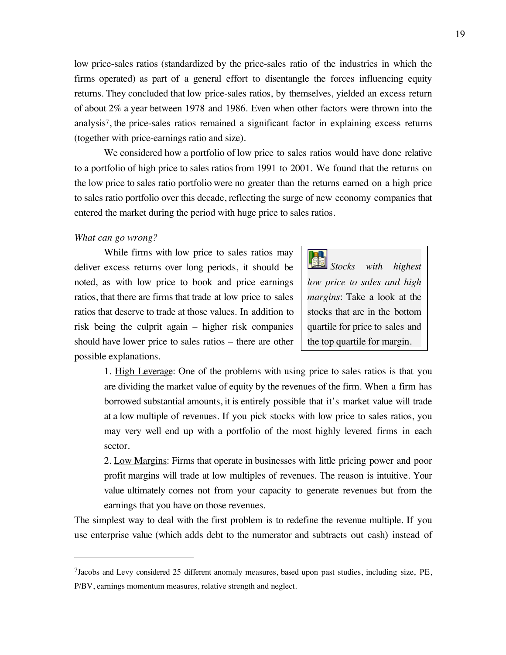low price-sales ratios (standardized by the price-sales ratio of the industries in which the firms operated) as part of a general effort to disentangle the forces influencing equity returns. They concluded that low price-sales ratios, by themselves, yielded an excess return of about 2% a year between 1978 and 1986. Even when other factors were thrown into the analysis7, the price-sales ratios remained a significant factor in explaining excess returns (together with price-earnings ratio and size).

We considered how a portfolio of low price to sales ratios would have done relative to a portfolio of high price to sales ratios from 1991 to 2001. We found that the returns on the low price to sales ratio portfolio were no greater than the returns earned on a high price to sales ratio portfolio over this decade, reflecting the surge of new economy companies that entered the market during the period with huge price to sales ratios.

### *What can go wrong?*

 $\overline{a}$ 

While firms with low price to sales ratios may deliver excess returns over long periods, it should be noted, as with low price to book and price earnings ratios, that there are firms that trade at low price to sales ratios that deserve to trade at those values. In addition to risk being the culprit again – higher risk companies should have lower price to sales ratios – there are other possible explanations.

**RE** *Stocks* with highest *low price to sales and high margins*: Take a look at the stocks that are in the bottom quartile for price to sales and the top quartile for margin.

1. High Leverage: One of the problems with using price to sales ratios is that you are dividing the market value of equity by the revenues of the firm. When a firm has borrowed substantial amounts, it is entirely possible that it's market value will trade at a low multiple of revenues. If you pick stocks with low price to sales ratios, you may very well end up with a portfolio of the most highly levered firms in each sector.

2. Low Margins: Firms that operate in businesses with little pricing power and poor profit margins will trade at low multiples of revenues. The reason is intuitive. Your value ultimately comes not from your capacity to generate revenues but from the earnings that you have on those revenues.

The simplest way to deal with the first problem is to redefine the revenue multiple. If you use enterprise value (which adds debt to the numerator and subtracts out cash) instead of

<sup>7</sup>Jacobs and Levy considered 25 different anomaly measures, based upon past studies, including size, PE, P/BV, earnings momentum measures, relative strength and neglect.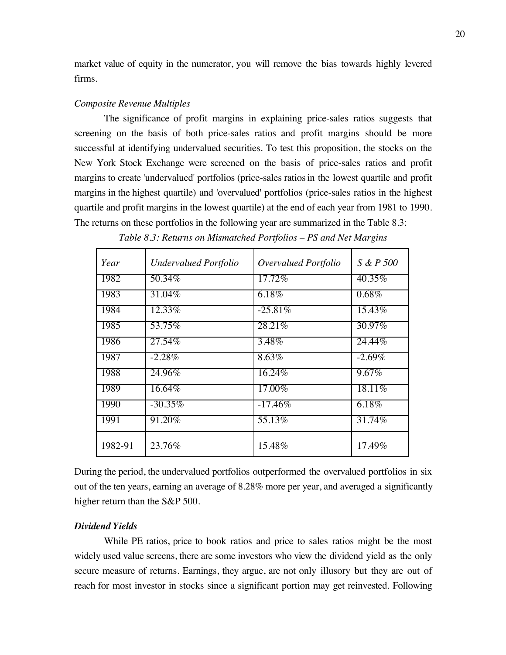market value of equity in the numerator, you will remove the bias towards highly levered firms.

### *Composite Revenue Multiples*

The significance of profit margins in explaining price-sales ratios suggests that screening on the basis of both price-sales ratios and profit margins should be more successful at identifying undervalued securities. To test this proposition, the stocks on the New York Stock Exchange were screened on the basis of price-sales ratios and profit margins to create 'undervalued' portfolios (price-sales ratios in the lowest quartile and profit margins in the highest quartile) and 'overvalued' portfolios (price-sales ratios in the highest quartile and profit margins in the lowest quartile) at the end of each year from 1981 to 1990. The returns on these portfolios in the following year are summarized in the Table 8.3:

| Year    | <b>Undervalued Portfolio</b> | <b>Overvalued Portfolio</b> | S & P 500 |
|---------|------------------------------|-----------------------------|-----------|
| 1982    | 50.34%                       | 17.72%                      | 40.35%    |
| 1983    | 31.04%                       | 6.18%                       | $0.68\%$  |
| 1984    | 12.33%                       | $-25.81\%$                  | 15.43%    |
| 1985    | 53.75%                       | 28.21%                      | 30.97%    |
| 1986    | 27.54%                       | 3.48%                       | 24.44%    |
| 1987    | $-2.28\%$                    | 8.63%                       | $-2.69\%$ |
| 1988    | 24.96%                       | 16.24%                      | $9.67\%$  |
| 1989    | 16.64%                       | 17.00%                      | 18.11%    |
| 1990    | $-30.35\%$                   | $-17.46%$                   | 6.18%     |
| 1991    | 91.20%                       | 55.13%                      | 31.74%    |
| 1982-91 | 23.76%                       | 15.48%                      | 17.49%    |

*Table 8.3: Returns on Mismatched Portfolios – PS and Net Margins*

During the period, the undervalued portfolios outperformed the overvalued portfolios in six out of the ten years, earning an average of 8.28% more per year, and averaged a significantly higher return than the S&P 500.

### *Dividend Yields*

While PE ratios, price to book ratios and price to sales ratios might be the most widely used value screens, there are some investors who view the dividend yield as the only secure measure of returns. Earnings, they argue, are not only illusory but they are out of reach for most investor in stocks since a significant portion may get reinvested. Following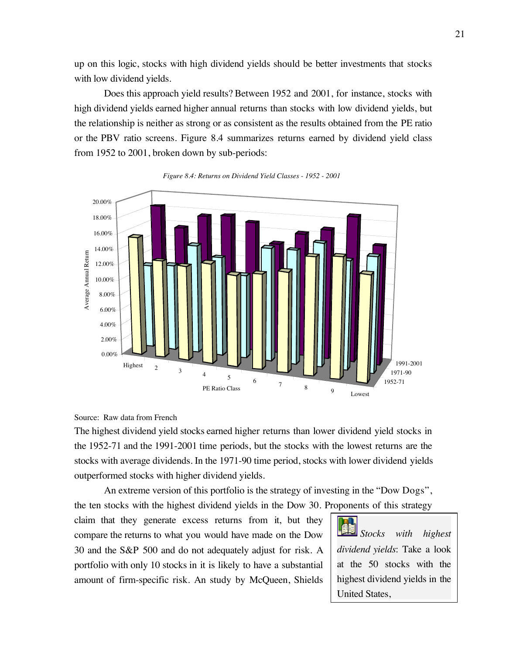up on this logic, stocks with high dividend yields should be better investments that stocks with low dividend yields.

Does this approach yield results? Between 1952 and 2001, for instance, stocks with high dividend yields earned higher annual returns than stocks with low dividend yields, but the relationship is neither as strong or as consistent as the results obtained from the PE ratio or the PBV ratio screens. Figure 8.4 summarizes returns earned by dividend yield class from 1952 to 2001, broken down by sub-periods:





Source: Raw data from French

The highest dividend yield stocks earned higher returns than lower dividend yield stocks in the 1952-71 and the 1991-2001 time periods, but the stocks with the lowest returns are the stocks with average dividends. In the 1971-90 time period, stocks with lower dividend yields outperformed stocks with higher dividend yields.

An extreme version of this portfolio is the strategy of investing in the "Dow Dogs", the ten stocks with the highest dividend yields in the Dow 30. Proponents of this strategy

claim that they generate excess returns from it, but they compare the returns to what you would have made on the Dow 30 and the S&P 500 and do not adequately adjust for risk. A portfolio with only 10 stocks in it is likely to have a substantial amount of firm-specific risk. An study by McQueen, Shields

*Stocks with highest dividend yields*: Take a look at the 50 stocks with the highest dividend yields in the United States,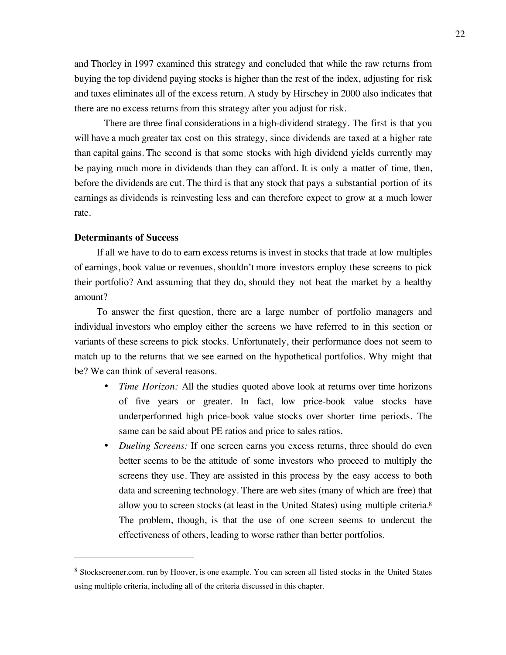and Thorley in 1997 examined this strategy and concluded that while the raw returns from buying the top dividend paying stocks is higher than the rest of the index, adjusting for risk and taxes eliminates all of the excess return. A study by Hirschey in 2000 also indicates that there are no excess returns from this strategy after you adjust for risk.

There are three final considerations in a high-dividend strategy. The first is that you will have a much greater tax cost on this strategy, since dividends are taxed at a higher rate than capital gains. The second is that some stocks with high dividend yields currently may be paying much more in dividends than they can afford. It is only a matter of time, then, before the dividends are cut. The third is that any stock that pays a substantial portion of its earnings as dividends is reinvesting less and can therefore expect to grow at a much lower rate.

### **Determinants of Success**

 $\overline{a}$ 

If all we have to do to earn excess returns is invest in stocks that trade at low multiples of earnings, book value or revenues, shouldn't more investors employ these screens to pick their portfolio? And assuming that they do, should they not beat the market by a healthy amount?

To answer the first question, there are a large number of portfolio managers and individual investors who employ either the screens we have referred to in this section or variants of these screens to pick stocks. Unfortunately, their performance does not seem to match up to the returns that we see earned on the hypothetical portfolios. Why might that be? We can think of several reasons.

- *Time Horizon:* All the studies quoted above look at returns over time horizons of five years or greater. In fact, low price-book value stocks have underperformed high price-book value stocks over shorter time periods. The same can be said about PE ratios and price to sales ratios.
- *Dueling Screens:* If one screen earns you excess returns, three should do even better seems to be the attitude of some investors who proceed to multiply the screens they use. They are assisted in this process by the easy access to both data and screening technology. There are web sites (many of which are free) that allow you to screen stocks (at least in the United States) using multiple criteria.8 The problem, though, is that the use of one screen seems to undercut the effectiveness of others, leading to worse rather than better portfolios.

<sup>8</sup> Stockscreener.com. run by Hoover, is one example. You can screen all listed stocks in the United States using multiple criteria, including all of the criteria discussed in this chapter.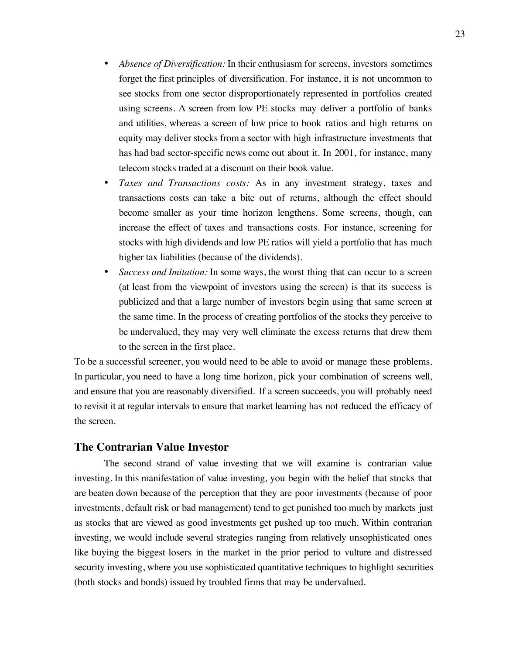- *Absence of Diversification:* In their enthusiasm for screens, investors sometimes forget the first principles of diversification. For instance, it is not uncommon to see stocks from one sector disproportionately represented in portfolios created using screens. A screen from low PE stocks may deliver a portfolio of banks and utilities, whereas a screen of low price to book ratios and high returns on equity may deliver stocks from a sector with high infrastructure investments that has had bad sector-specific news come out about it. In 2001, for instance, many telecom stocks traded at a discount on their book value.
- *Taxes and Transactions costs:* As in any investment strategy, taxes and transactions costs can take a bite out of returns, although the effect should become smaller as your time horizon lengthens. Some screens, though, can increase the effect of taxes and transactions costs. For instance, screening for stocks with high dividends and low PE ratios will yield a portfolio that has much higher tax liabilities (because of the dividends).
- *Success and Imitation:* In some ways, the worst thing that can occur to a screen (at least from the viewpoint of investors using the screen) is that its success is publicized and that a large number of investors begin using that same screen at the same time. In the process of creating portfolios of the stocks they perceive to be undervalued, they may very well eliminate the excess returns that drew them to the screen in the first place.

To be a successful screener, you would need to be able to avoid or manage these problems. In particular, you need to have a long time horizon, pick your combination of screens well, and ensure that you are reasonably diversified. If a screen succeeds, you will probably need to revisit it at regular intervals to ensure that market learning has not reduced the efficacy of the screen.

# **The Contrarian Value Investor**

The second strand of value investing that we will examine is contrarian value investing. In this manifestation of value investing, you begin with the belief that stocks that are beaten down because of the perception that they are poor investments (because of poor investments, default risk or bad management) tend to get punished too much by markets just as stocks that are viewed as good investments get pushed up too much. Within contrarian investing, we would include several strategies ranging from relatively unsophisticated ones like buying the biggest losers in the market in the prior period to vulture and distressed security investing, where you use sophisticated quantitative techniques to highlight securities (both stocks and bonds) issued by troubled firms that may be undervalued.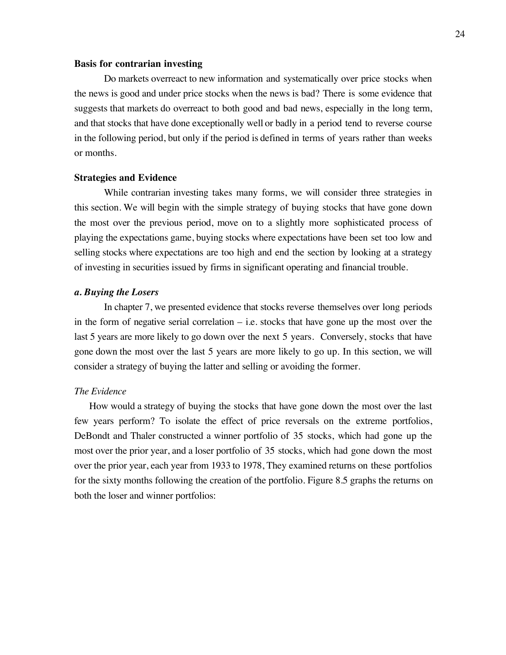#### **Basis for contrarian investing**

Do markets overreact to new information and systematically over price stocks when the news is good and under price stocks when the news is bad? There is some evidence that suggests that markets do overreact to both good and bad news, especially in the long term, and that stocks that have done exceptionally well or badly in a period tend to reverse course in the following period, but only if the period is defined in terms of years rather than weeks or months.

### **Strategies and Evidence**

While contrarian investing takes many forms, we will consider three strategies in this section. We will begin with the simple strategy of buying stocks that have gone down the most over the previous period, move on to a slightly more sophisticated process of playing the expectations game, buying stocks where expectations have been set too low and selling stocks where expectations are too high and end the section by looking at a strategy of investing in securities issued by firms in significant operating and financial trouble.

#### *a. Buying the Losers*

In chapter 7, we presented evidence that stocks reverse themselves over long periods in the form of negative serial correlation  $-$  i.e. stocks that have gone up the most over the last 5 years are more likely to go down over the next 5 years. Conversely, stocks that have gone down the most over the last 5 years are more likely to go up. In this section, we will consider a strategy of buying the latter and selling or avoiding the former.

#### *The Evidence*

How would a strategy of buying the stocks that have gone down the most over the last few years perform? To isolate the effect of price reversals on the extreme portfolios, DeBondt and Thaler constructed a winner portfolio of 35 stocks, which had gone up the most over the prior year, and a loser portfolio of 35 stocks, which had gone down the most over the prior year, each year from 1933 to 1978, They examined returns on these portfolios for the sixty months following the creation of the portfolio. Figure 8.5 graphs the returns on both the loser and winner portfolios: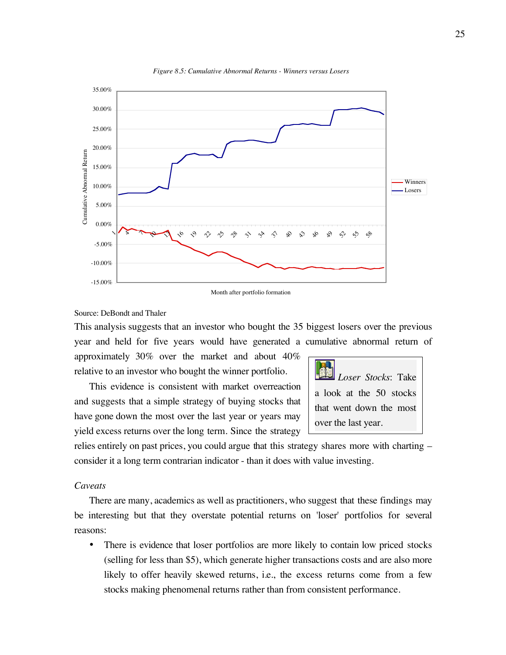

*Figure 8.5: Cumulative Abnormal Returns - Winners versus Losers*

Month after portfolio formation

Source: DeBondt and Thaler

This analysis suggests that an investor who bought the 35 biggest losers over the previous year and held for five years would have generated a cumulative abnormal return of

approximately 30% over the market and about 40% relative to an investor who bought the winner portfolio.

This evidence is consistent with market overreaction and suggests that a simple strategy of buying stocks that have gone down the most over the last year or years may yield excess returns over the long term. Since the strategy



relies entirely on past prices, you could argue that this strategy shares more with charting – consider it a long term contrarian indicator - than it does with value investing.

#### *Caveats*

There are many, academics as well as practitioners, who suggest that these findings may be interesting but that they overstate potential returns on 'loser' portfolios for several reasons:

• There is evidence that loser portfolios are more likely to contain low priced stocks (selling for less than \$5), which generate higher transactions costs and are also more likely to offer heavily skewed returns, i.e., the excess returns come from a few stocks making phenomenal returns rather than from consistent performance.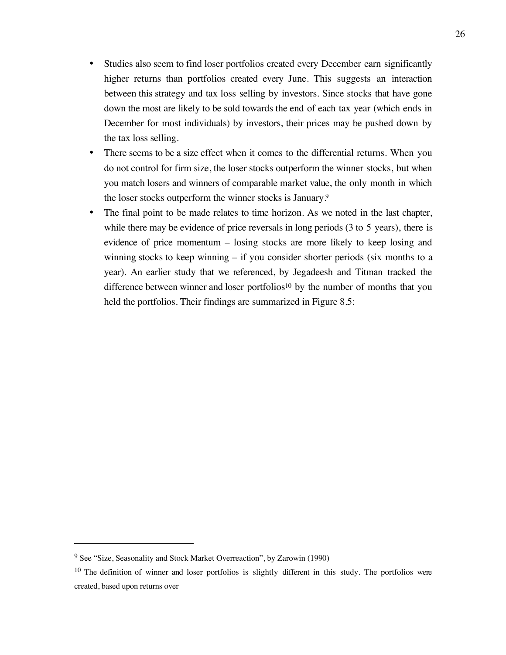- Studies also seem to find loser portfolios created every December earn significantly higher returns than portfolios created every June. This suggests an interaction between this strategy and tax loss selling by investors. Since stocks that have gone down the most are likely to be sold towards the end of each tax year (which ends in December for most individuals) by investors, their prices may be pushed down by the tax loss selling.
- There seems to be a size effect when it comes to the differential returns. When you do not control for firm size, the loser stocks outperform the winner stocks, but when you match losers and winners of comparable market value, the only month in which the loser stocks outperform the winner stocks is January.9
- The final point to be made relates to time horizon. As we noted in the last chapter, while there may be evidence of price reversals in long periods (3 to 5 years), there is evidence of price momentum – losing stocks are more likely to keep losing and winning stocks to keep winning – if you consider shorter periods (six months to a year). An earlier study that we referenced, by Jegadeesh and Titman tracked the difference between winner and loser portfolios<sup>10</sup> by the number of months that you held the portfolios. Their findings are summarized in Figure 8.5:

 $\overline{a}$ 

 $9$  See "Size, Seasonality and Stock Market Overreaction", by Zarowin (1990)

<sup>&</sup>lt;sup>10</sup> The definition of winner and loser portfolios is slightly different in this study. The portfolios were created, based upon returns over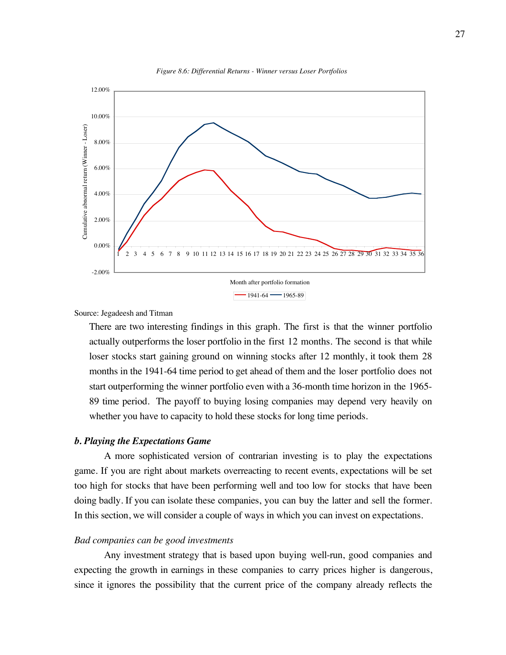

*Figure 8.6: Differential Returns - Winner versus Loser Portfolios*

Source: Jegadeesh and Titman

There are two interesting findings in this graph. The first is that the winner portfolio actually outperforms the loser portfolio in the first 12 months. The second is that while loser stocks start gaining ground on winning stocks after 12 monthly, it took them 28 months in the 1941-64 time period to get ahead of them and the loser portfolio does not start outperforming the winner portfolio even with a 36-month time horizon in the 1965- 89 time period. The payoff to buying losing companies may depend very heavily on whether you have to capacity to hold these stocks for long time periods.

### *b. Playing the Expectations Game*

A more sophisticated version of contrarian investing is to play the expectations game. If you are right about markets overreacting to recent events, expectations will be set too high for stocks that have been performing well and too low for stocks that have been doing badly. If you can isolate these companies, you can buy the latter and sell the former. In this section, we will consider a couple of ways in which you can invest on expectations.

#### *Bad companies can be good investments*

Any investment strategy that is based upon buying well-run, good companies and expecting the growth in earnings in these companies to carry prices higher is dangerous, since it ignores the possibility that the current price of the company already reflects the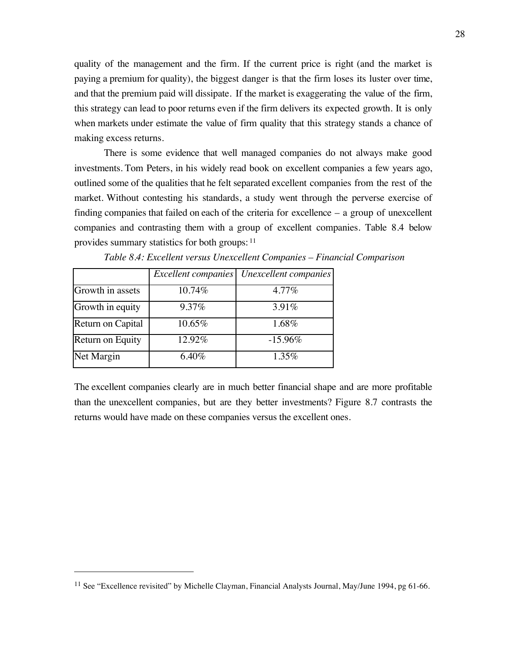quality of the management and the firm. If the current price is right (and the market is paying a premium for quality), the biggest danger is that the firm loses its luster over time, and that the premium paid will dissipate. If the market is exaggerating the value of the firm, this strategy can lead to poor returns even if the firm delivers its expected growth. It is only when markets under estimate the value of firm quality that this strategy stands a chance of making excess returns.

There is some evidence that well managed companies do not always make good investments. Tom Peters, in his widely read book on excellent companies a few years ago, outlined some of the qualities that he felt separated excellent companies from the rest of the market. Without contesting his standards, a study went through the perverse exercise of finding companies that failed on each of the criteria for excellence – a group of unexcellent companies and contrasting them with a group of excellent companies. Table 8.4 below provides summary statistics for both groups: <sup>11</sup>

|                          | Excellent companies | <b>Unexcellent companies</b> |
|--------------------------|---------------------|------------------------------|
| Growth in assets         | 10.74%              | 4.77%                        |
| Growth in equity         | 9.37%               | 3.91%                        |
| <b>Return on Capital</b> | 10.65%              | 1.68%                        |
| Return on Equity         | 12.92%              | $-15.96\%$                   |
| Net Margin               | 6.40%               | 1.35%                        |

 $\overline{a}$ 

*Table 8.4: Excellent versus Unexcellent Companies – Financial Comparison*

The excellent companies clearly are in much better financial shape and are more profitable than the unexcellent companies, but are they better investments? Figure 8.7 contrasts the returns would have made on these companies versus the excellent ones.

<sup>&</sup>lt;sup>11</sup> See "Excellence revisited" by Michelle Clayman, Financial Analysts Journal, May/June 1994, pg 61-66.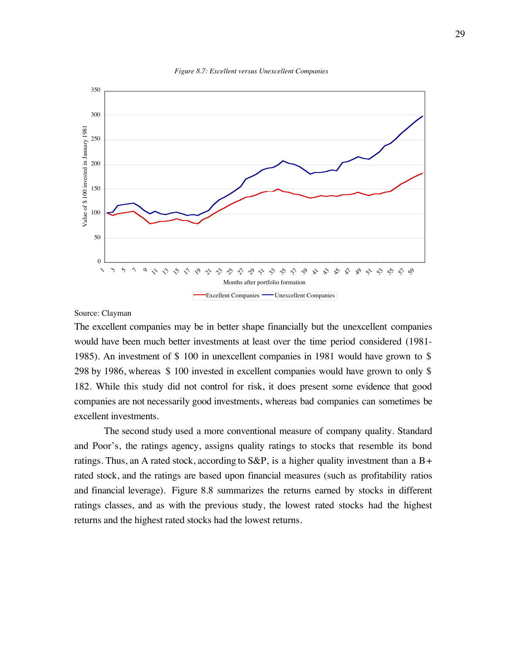



#### Source: Clayman

The excellent companies may be in better shape financially but the unexcellent companies would have been much better investments at least over the time period considered (1981- 1985). An investment of \$ 100 in unexcellent companies in 1981 would have grown to \$ 298 by 1986, whereas \$ 100 invested in excellent companies would have grown to only \$ 182. While this study did not control for risk, it does present some evidence that good companies are not necessarily good investments, whereas bad companies can sometimes be excellent investments.

The second study used a more conventional measure of company quality. Standard and Poor's, the ratings agency, assigns quality ratings to stocks that resemble its bond ratings. Thus, an A rated stock, according to  $S\&P$ , is a higher quality investment than a B + rated stock, and the ratings are based upon financial measures (such as profitability ratios and financial leverage). Figure 8.8 summarizes the returns earned by stocks in different ratings classes, and as with the previous study, the lowest rated stocks had the highest returns and the highest rated stocks had the lowest returns.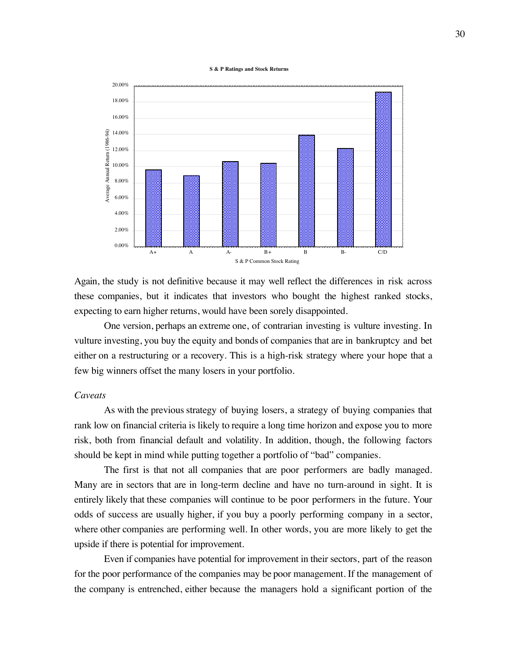#### **S & P Ratings and Stock Returns**



Again, the study is not definitive because it may well reflect the differences in risk across these companies, but it indicates that investors who bought the highest ranked stocks, expecting to earn higher returns, would have been sorely disappointed.

One version, perhaps an extreme one, of contrarian investing is vulture investing. In vulture investing, you buy the equity and bonds of companies that are in bankruptcy and bet either on a restructuring or a recovery. This is a high-risk strategy where your hope that a few big winners offset the many losers in your portfolio.

#### *Caveats*

As with the previous strategy of buying losers, a strategy of buying companies that rank low on financial criteria is likely to require a long time horizon and expose you to more risk, both from financial default and volatility. In addition, though, the following factors should be kept in mind while putting together a portfolio of "bad" companies.

The first is that not all companies that are poor performers are badly managed. Many are in sectors that are in long-term decline and have no turn-around in sight. It is entirely likely that these companies will continue to be poor performers in the future. Your odds of success are usually higher, if you buy a poorly performing company in a sector, where other companies are performing well. In other words, you are more likely to get the upside if there is potential for improvement.

Even if companies have potential for improvement in their sectors, part of the reason for the poor performance of the companies may be poor management. If the management of the company is entrenched, either because the managers hold a significant portion of the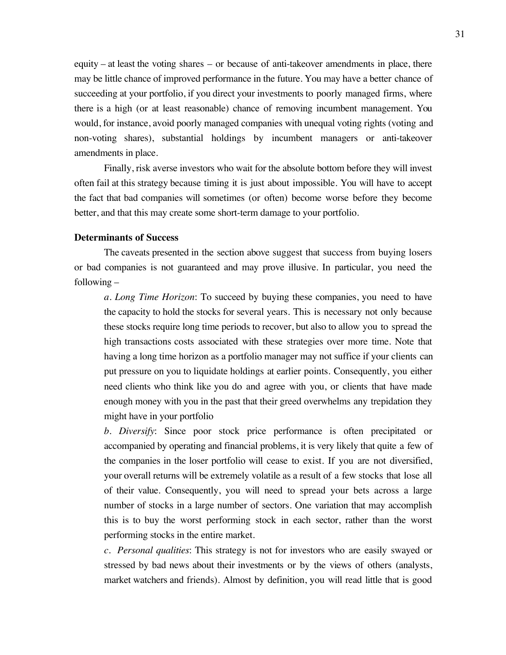equity – at least the voting shares – or because of anti-takeover amendments in place, there may be little chance of improved performance in the future. You may have a better chance of succeeding at your portfolio, if you direct your investments to poorly managed firms, where there is a high (or at least reasonable) chance of removing incumbent management. You would, for instance, avoid poorly managed companies with unequal voting rights (voting and non-voting shares), substantial holdings by incumbent managers or anti-takeover amendments in place.

Finally, risk averse investors who wait for the absolute bottom before they will invest often fail at this strategy because timing it is just about impossible. You will have to accept the fact that bad companies will sometimes (or often) become worse before they become better, and that this may create some short-term damage to your portfolio.

### **Determinants of Success**

The caveats presented in the section above suggest that success from buying losers or bad companies is not guaranteed and may prove illusive. In particular, you need the following –

*a. Long Time Horizon*: To succeed by buying these companies, you need to have the capacity to hold the stocks for several years. This is necessary not only because these stocks require long time periods to recover, but also to allow you to spread the high transactions costs associated with these strategies over more time. Note that having a long time horizon as a portfolio manager may not suffice if your clients can put pressure on you to liquidate holdings at earlier points. Consequently, you either need clients who think like you do and agree with you, or clients that have made enough money with you in the past that their greed overwhelms any trepidation they might have in your portfolio

*b. Diversify*: Since poor stock price performance is often precipitated or accompanied by operating and financial problems, it is very likely that quite a few of the companies in the loser portfolio will cease to exist. If you are not diversified, your overall returns will be extremely volatile as a result of a few stocks that lose all of their value. Consequently, you will need to spread your bets across a large number of stocks in a large number of sectors. One variation that may accomplish this is to buy the worst performing stock in each sector, rather than the worst performing stocks in the entire market.

*c. Personal qualities*: This strategy is not for investors who are easily swayed or stressed by bad news about their investments or by the views of others (analysts, market watchers and friends). Almost by definition, you will read little that is good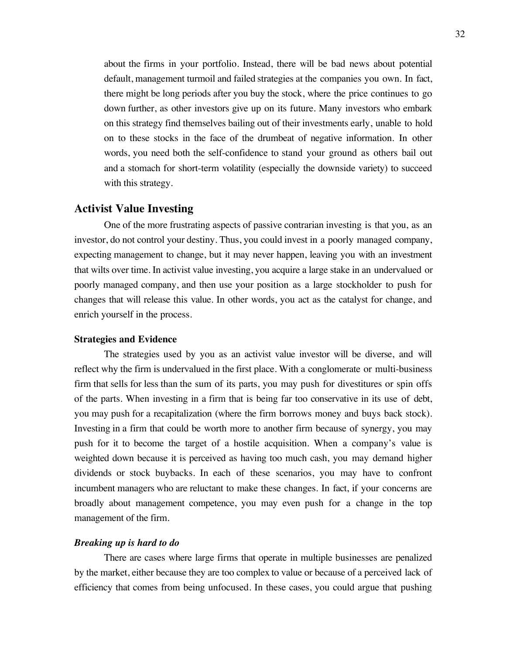about the firms in your portfolio. Instead, there will be bad news about potential default, management turmoil and failed strategies at the companies you own. In fact, there might be long periods after you buy the stock, where the price continues to go down further, as other investors give up on its future. Many investors who embark on this strategy find themselves bailing out of their investments early, unable to hold on to these stocks in the face of the drumbeat of negative information. In other words, you need both the self-confidence to stand your ground as others bail out and a stomach for short-term volatility (especially the downside variety) to succeed with this strategy.

### **Activist Value Investing**

One of the more frustrating aspects of passive contrarian investing is that you, as an investor, do not control your destiny. Thus, you could invest in a poorly managed company, expecting management to change, but it may never happen, leaving you with an investment that wilts over time. In activist value investing, you acquire a large stake in an undervalued or poorly managed company, and then use your position as a large stockholder to push for changes that will release this value. In other words, you act as the catalyst for change, and enrich yourself in the process.

#### **Strategies and Evidence**

The strategies used by you as an activist value investor will be diverse, and will reflect why the firm is undervalued in the first place. With a conglomerate or multi-business firm that sells for less than the sum of its parts, you may push for divestitures or spin offs of the parts. When investing in a firm that is being far too conservative in its use of debt, you may push for a recapitalization (where the firm borrows money and buys back stock). Investing in a firm that could be worth more to another firm because of synergy, you may push for it to become the target of a hostile acquisition. When a company's value is weighted down because it is perceived as having too much cash, you may demand higher dividends or stock buybacks. In each of these scenarios, you may have to confront incumbent managers who are reluctant to make these changes. In fact, if your concerns are broadly about management competence, you may even push for a change in the top management of the firm.

### *Breaking up is hard to do*

There are cases where large firms that operate in multiple businesses are penalized by the market, either because they are too complex to value or because of a perceived lack of efficiency that comes from being unfocused. In these cases, you could argue that pushing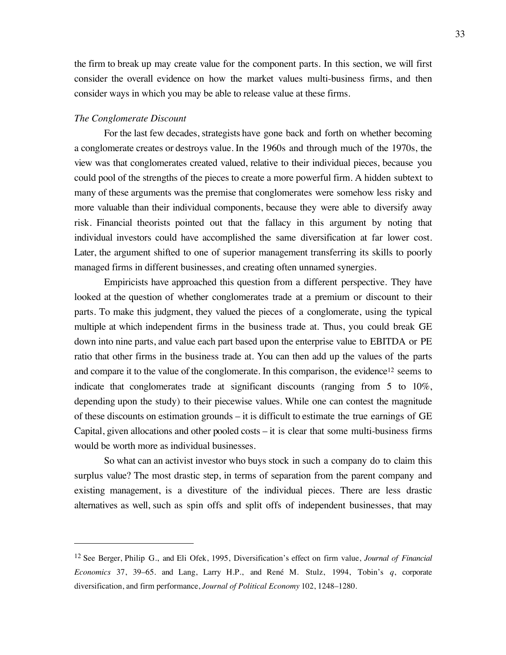the firm to break up may create value for the component parts. In this section, we will first consider the overall evidence on how the market values multi-business firms, and then consider ways in which you may be able to release value at these firms.

### *The Conglomerate Discount*

 $\overline{a}$ 

For the last few decades, strategists have gone back and forth on whether becoming a conglomerate creates or destroys value. In the 1960s and through much of the 1970s, the view was that conglomerates created valued, relative to their individual pieces, because you could pool of the strengths of the pieces to create a more powerful firm. A hidden subtext to many of these arguments was the premise that conglomerates were somehow less risky and more valuable than their individual components, because they were able to diversify away risk. Financial theorists pointed out that the fallacy in this argument by noting that individual investors could have accomplished the same diversification at far lower cost. Later, the argument shifted to one of superior management transferring its skills to poorly managed firms in different businesses, and creating often unnamed synergies.

Empiricists have approached this question from a different perspective. They have looked at the question of whether conglomerates trade at a premium or discount to their parts. To make this judgment, they valued the pieces of a conglomerate, using the typical multiple at which independent firms in the business trade at. Thus, you could break GE down into nine parts, and value each part based upon the enterprise value to EBITDA or PE ratio that other firms in the business trade at. You can then add up the values of the parts and compare it to the value of the conglomerate. In this comparison, the evidence<sup>12</sup> seems to indicate that conglomerates trade at significant discounts (ranging from 5 to 10%, depending upon the study) to their piecewise values. While one can contest the magnitude of these discounts on estimation grounds – it is difficult to estimate the true earnings of GE Capital, given allocations and other pooled costs  $-$  it is clear that some multi-business firms would be worth more as individual businesses.

So what can an activist investor who buys stock in such a company do to claim this surplus value? The most drastic step, in terms of separation from the parent company and existing management, is a divestiture of the individual pieces. There are less drastic alternatives as well, such as spin offs and split offs of independent businesses, that may

<sup>12</sup> See Berger, Philip G., and Eli Ofek, 1995, Diversification's effect on firm value, *Journal of Financial Economics* 37, 39–65. and Lang, Larry H.P., and René M. Stulz, 1994, Tobin's *q*, corporate diversification, and firm performance, *Journal of Political Economy* 102, 1248–1280.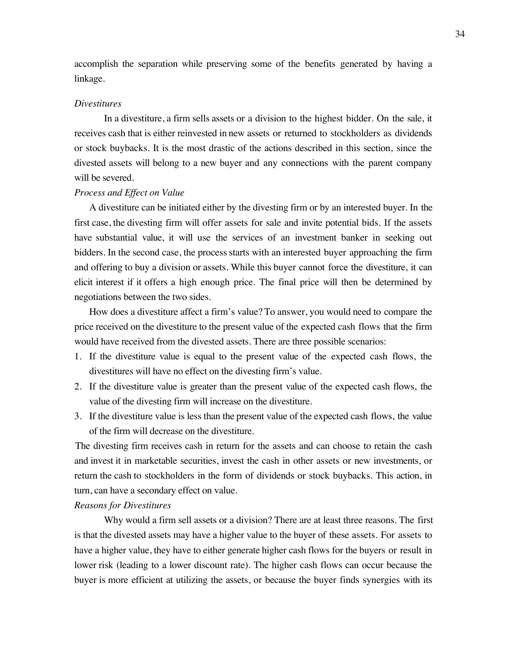accomplish the separation while preserving some of the benefits generated by having a linkage.

#### *Divestitures*

In a divestiture, a firm sells assets or a division to the highest bidder. On the sale, it receives cash that is either reinvested in new assets or returned to stockholders as dividends or stock buybacks. It is the most drastic of the actions described in this section, since the divested assets will belong to a new buyer and any connections with the parent company will be severed.

### *Process and Effect on Value*

A divestiture can be initiated either by the divesting firm or by an interested buyer. In the first case, the divesting firm will offer assets for sale and invite potential bids. If the assets have substantial value, it will use the services of an investment banker in seeking out bidders. In the second case, the process starts with an interested buyer approaching the firm and offering to buy a division or assets. While this buyer cannot force the divestiture, it can elicit interest if it offers a high enough price. The final price will then be determined by negotiations between the two sides.

How does a divestiture affect a firm's value? To answer, you would need to compare the price received on the divestiture to the present value of the expected cash flows that the firm would have received from the divested assets. There are three possible scenarios:

- 1. If the divestiture value is equal to the present value of the expected cash flows, the divestitures will have no effect on the divesting firm's value.
- 2. If the divestiture value is greater than the present value of the expected cash flows, the value of the divesting firm will increase on the divestiture.
- 3. If the divestiture value is less than the present value of the expected cash flows, the value of the firm will decrease on the divestiture.

The divesting firm receives cash in return for the assets and can choose to retain the cash and invest it in marketable securities, invest the cash in other assets or new investments, or return the cash to stockholders in the form of dividends or stock buybacks. This action, in turn, can have a secondary effect on value.

#### *Reasons for Divestitures*

Why would a firm sell assets or a division? There are at least three reasons. The first is that the divested assets may have a higher value to the buyer of these assets. For assets to have a higher value, they have to either generate higher cash flows for the buyers or result in lower risk (leading to a lower discount rate). The higher cash flows can occur because the buyer is more efficient at utilizing the assets, or because the buyer finds synergies with its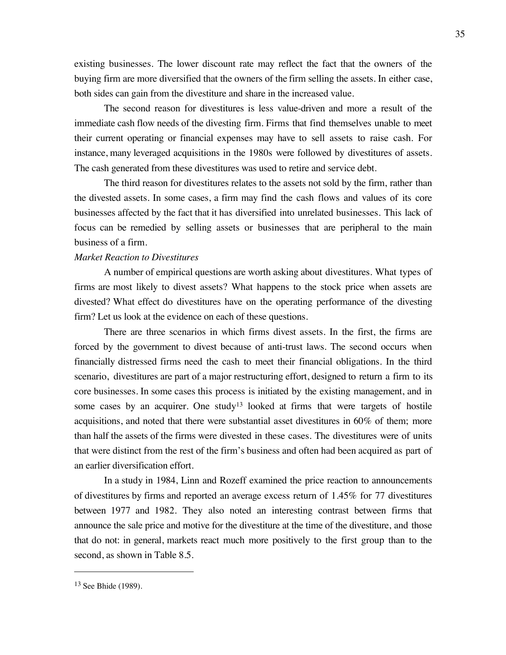existing businesses. The lower discount rate may reflect the fact that the owners of the buying firm are more diversified that the owners of the firm selling the assets. In either case, both sides can gain from the divestiture and share in the increased value.

The second reason for divestitures is less value-driven and more a result of the immediate cash flow needs of the divesting firm. Firms that find themselves unable to meet their current operating or financial expenses may have to sell assets to raise cash. For instance, many leveraged acquisitions in the 1980s were followed by divestitures of assets. The cash generated from these divestitures was used to retire and service debt.

The third reason for divestitures relates to the assets not sold by the firm, rather than the divested assets. In some cases, a firm may find the cash flows and values of its core businesses affected by the fact that it has diversified into unrelated businesses. This lack of focus can be remedied by selling assets or businesses that are peripheral to the main business of a firm.

# *Market Reaction to Divestitures*

A number of empirical questions are worth asking about divestitures. What types of firms are most likely to divest assets? What happens to the stock price when assets are divested? What effect do divestitures have on the operating performance of the divesting firm? Let us look at the evidence on each of these questions.

There are three scenarios in which firms divest assets. In the first, the firms are forced by the government to divest because of anti-trust laws. The second occurs when financially distressed firms need the cash to meet their financial obligations. In the third scenario, divestitures are part of a major restructuring effort, designed to return a firm to its core businesses. In some cases this process is initiated by the existing management, and in some cases by an acquirer. One study<sup>13</sup> looked at firms that were targets of hostile acquisitions, and noted that there were substantial asset divestitures in 60% of them; more than half the assets of the firms were divested in these cases. The divestitures were of units that were distinct from the rest of the firm's business and often had been acquired as part of an earlier diversification effort.

In a study in 1984, Linn and Rozeff examined the price reaction to announcements of divestitures by firms and reported an average excess return of 1.45% for 77 divestitures between 1977 and 1982. They also noted an interesting contrast between firms that announce the sale price and motive for the divestiture at the time of the divestiture, and those that do not: in general, markets react much more positively to the first group than to the second, as shown in Table 8.5.

35

 $\overline{a}$ 

<sup>13</sup> See Bhide (1989).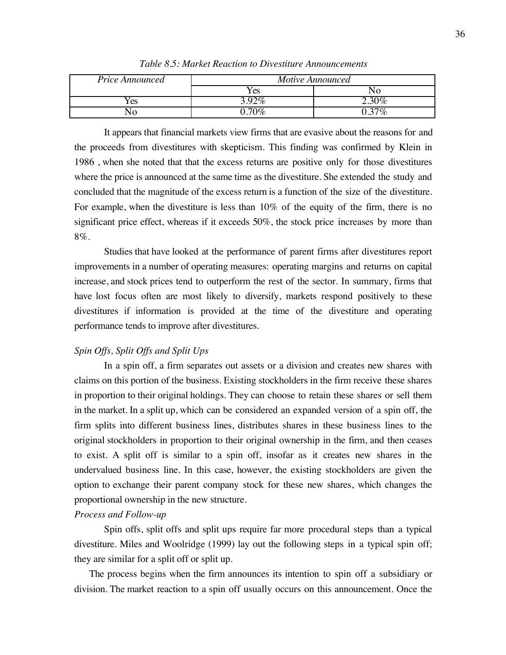| Price Announced | <b>Motive Announced</b> |          |
|-----------------|-------------------------|----------|
|                 | 'es                     | NО       |
| 'es             | $3.92\%$                | $2.30\%$ |
|                 | 70%                     | 37%      |

*Table 8.5: Market Reaction to Divestiture Announcements*

It appears that financial markets view firms that are evasive about the reasons for and the proceeds from divestitures with skepticism. This finding was confirmed by Klein in 1986 , when she noted that that the excess returns are positive only for those divestitures where the price is announced at the same time as the divestiture. She extended the study and concluded that the magnitude of the excess return is a function of the size of the divestiture. For example, when the divestiture is less than 10% of the equity of the firm, there is no significant price effect, whereas if it exceeds 50%, the stock price increases by more than 8%.

Studies that have looked at the performance of parent firms after divestitures report improvements in a number of operating measures: operating margins and returns on capital increase, and stock prices tend to outperform the rest of the sector. In summary, firms that have lost focus often are most likely to diversify, markets respond positively to these divestitures if information is provided at the time of the divestiture and operating performance tends to improve after divestitures.

### *Spin Offs, Split Offs and Split Ups*

In a spin off, a firm separates out assets or a division and creates new shares with claims on this portion of the business. Existing stockholders in the firm receive these shares in proportion to their original holdings. They can choose to retain these shares or sell them in the market. In a split up, which can be considered an expanded version of a spin off, the firm splits into different business lines, distributes shares in these business lines to the original stockholders in proportion to their original ownership in the firm, and then ceases to exist. A split off is similar to a spin off, insofar as it creates new shares in the undervalued business line. In this case, however, the existing stockholders are given the option to exchange their parent company stock for these new shares, which changes the proportional ownership in the new structure.

#### *Process and Follow-up*

Spin offs, split offs and split ups require far more procedural steps than a typical divestiture. Miles and Woolridge (1999) lay out the following steps in a typical spin off; they are similar for a split off or split up.

The process begins when the firm announces its intention to spin off a subsidiary or division. The market reaction to a spin off usually occurs on this announcement. Once the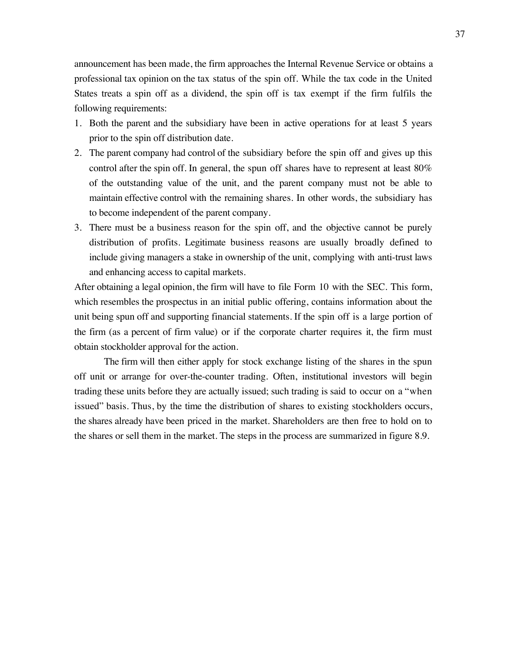announcement has been made, the firm approaches the Internal Revenue Service or obtains a professional tax opinion on the tax status of the spin off. While the tax code in the United States treats a spin off as a dividend, the spin off is tax exempt if the firm fulfils the following requirements:

- 1. Both the parent and the subsidiary have been in active operations for at least 5 years prior to the spin off distribution date.
- 2. The parent company had control of the subsidiary before the spin off and gives up this control after the spin off. In general, the spun off shares have to represent at least 80% of the outstanding value of the unit, and the parent company must not be able to maintain effective control with the remaining shares. In other words, the subsidiary has to become independent of the parent company.
- 3. There must be a business reason for the spin off, and the objective cannot be purely distribution of profits. Legitimate business reasons are usually broadly defined to include giving managers a stake in ownership of the unit, complying with anti-trust laws and enhancing access to capital markets.

After obtaining a legal opinion, the firm will have to file Form 10 with the SEC. This form, which resembles the prospectus in an initial public offering, contains information about the unit being spun off and supporting financial statements. If the spin off is a large portion of the firm (as a percent of firm value) or if the corporate charter requires it, the firm must obtain stockholder approval for the action.

The firm will then either apply for stock exchange listing of the shares in the spun off unit or arrange for over-the-counter trading. Often, institutional investors will begin trading these units before they are actually issued; such trading is said to occur on a "when issued" basis. Thus, by the time the distribution of shares to existing stockholders occurs, the shares already have been priced in the market. Shareholders are then free to hold on to the shares or sell them in the market. The steps in the process are summarized in figure 8.9.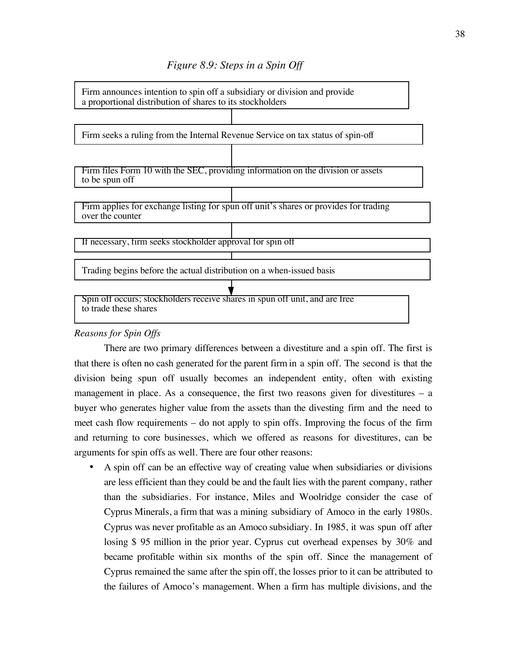# *Figure 8.9: Steps in a Spin Off*



# *Reasons for Spin Offs*

There are two primary differences between a divestiture and a spin off. The first is that there is often no cash generated for the parent firm in a spin off. The second is that the division being spun off usually becomes an independent entity, often with existing management in place. As a consequence, the first two reasons given for divestitures – a buyer who generates higher value from the assets than the divesting firm and the need to meet cash flow requirements – do not apply to spin offs. Improving the focus of the firm and returning to core businesses, which we offered as reasons for divestitures, can be arguments for spin offs as well. There are four other reasons:

• A spin off can be an effective way of creating value when subsidiaries or divisions are less efficient than they could be and the fault lies with the parent company, rather than the subsidiaries. For instance, Miles and Woolridge consider the case of Cyprus Minerals, a firm that was a mining subsidiary of Amoco in the early 1980s. Cyprus was never profitable as an Amoco subsidiary. In 1985, it was spun off after losing \$ 95 million in the prior year. Cyprus cut overhead expenses by 30% and became profitable within six months of the spin off. Since the management of Cyprus remained the same after the spin off, the losses prior to it can be attributed to the failures of Amoco's management. When a firm has multiple divisions, and the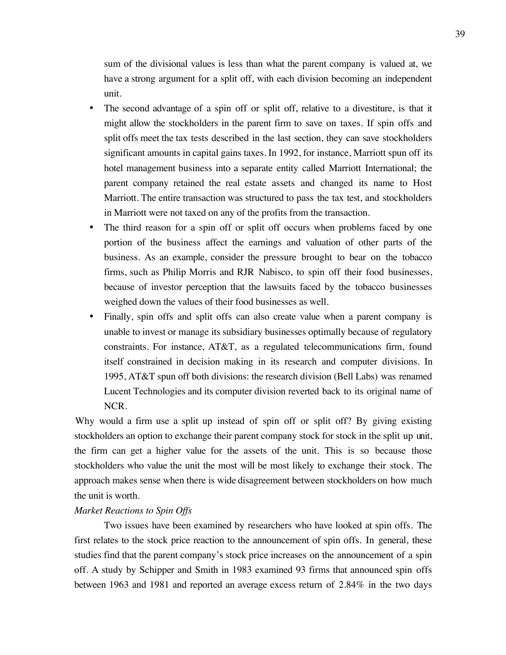sum of the divisional values is less than what the parent company is valued at, we have a strong argument for a split off, with each division becoming an independent unit.

- The second advantage of a spin off or split off, relative to a divestiture, is that it might allow the stockholders in the parent firm to save on taxes. If spin offs and split offs meet the tax tests described in the last section, they can save stockholders significant amounts in capital gains taxes. In 1992, for instance, Marriott spun off its hotel management business into a separate entity called Marriott International; the parent company retained the real estate assets and changed its name to Host Marriott. The entire transaction was structured to pass the tax test, and stockholders in Marriott were not taxed on any of the profits from the transaction.
- The third reason for a spin off or split off occurs when problems faced by one portion of the business affect the earnings and valuation of other parts of the business. As an example, consider the pressure brought to bear on the tobacco firms, such as Philip Morris and RJR Nabisco, to spin off their food businesses, because of investor perception that the lawsuits faced by the tobacco businesses weighed down the values of their food businesses as well.
- Finally, spin offs and split offs can also create value when a parent company is unable to invest or manage its subsidiary businesses optimally because of regulatory constraints. For instance, AT&T, as a regulated telecommunications firm, found itself constrained in decision making in its research and computer divisions. In 1995, AT&T spun off both divisions: the research division (Bell Labs) was renamed Lucent Technologies and its computer division reverted back to its original name of NCR.

Why would a firm use a split up instead of spin off or split off? By giving existing stockholders an option to exchange their parent company stock for stock in the split up unit, the firm can get a higher value for the assets of the unit. This is so because those stockholders who value the unit the most will be most likely to exchange their stock. The approach makes sense when there is wide disagreement between stockholders on how much the unit is worth.

# *Market Reactions to Spin Offs*

Two issues have been examined by researchers who have looked at spin offs. The first relates to the stock price reaction to the announcement of spin offs. In general, these studies find that the parent company's stock price increases on the announcement of a spin off. A study by Schipper and Smith in 1983 examined 93 firms that announced spin offs between 1963 and 1981 and reported an average excess return of 2.84% in the two days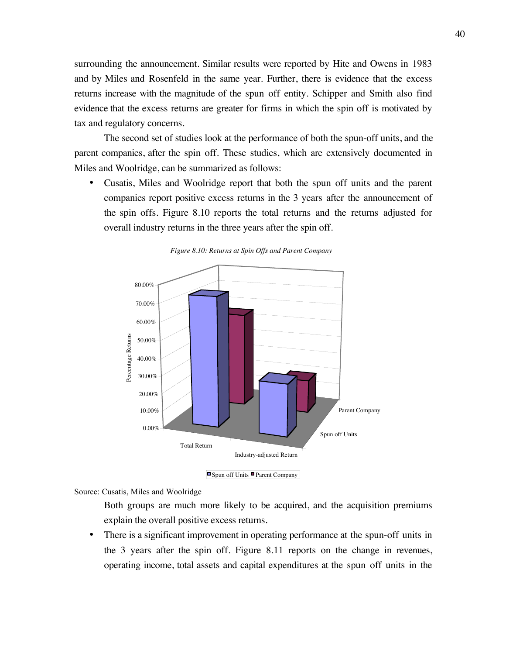surrounding the announcement. Similar results were reported by Hite and Owens in 1983 and by Miles and Rosenfeld in the same year. Further, there is evidence that the excess returns increase with the magnitude of the spun off entity. Schipper and Smith also find evidence that the excess returns are greater for firms in which the spin off is motivated by tax and regulatory concerns.

The second set of studies look at the performance of both the spun-off units, and the parent companies, after the spin off. These studies, which are extensively documented in Miles and Woolridge, can be summarized as follows:

• Cusatis, Miles and Woolridge report that both the spun off units and the parent companies report positive excess returns in the 3 years after the announcement of the spin offs. Figure 8.10 reports the total returns and the returns adjusted for overall industry returns in the three years after the spin off.





Source: Cusatis, Miles and Woolridge

Both groups are much more likely to be acquired, and the acquisition premiums explain the overall positive excess returns.

• There is a significant improvement in operating performance at the spun-off units in the 3 years after the spin off. Figure 8.11 reports on the change in revenues, operating income, total assets and capital expenditures at the spun off units in the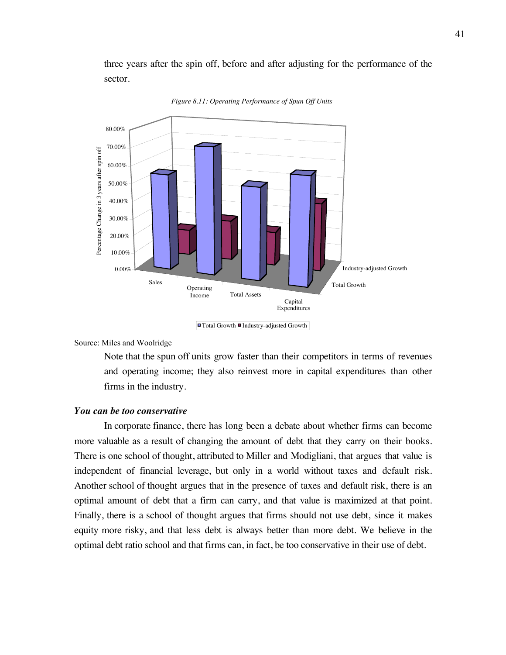three years after the spin off, before and after adjusting for the performance of the sector.



*Figure 8.11: Operating Performance of Spun Off Units*

Source: Miles and Woolridge

Note that the spun off units grow faster than their competitors in terms of revenues and operating income; they also reinvest more in capital expenditures than other firms in the industry.

### *You can be too conservative*

In corporate finance, there has long been a debate about whether firms can become more valuable as a result of changing the amount of debt that they carry on their books. There is one school of thought, attributed to Miller and Modigliani, that argues that value is independent of financial leverage, but only in a world without taxes and default risk. Another school of thought argues that in the presence of taxes and default risk, there is an optimal amount of debt that a firm can carry, and that value is maximized at that point. Finally, there is a school of thought argues that firms should not use debt, since it makes equity more risky, and that less debt is always better than more debt. We believe in the optimal debt ratio school and that firms can, in fact, be too conservative in their use of debt.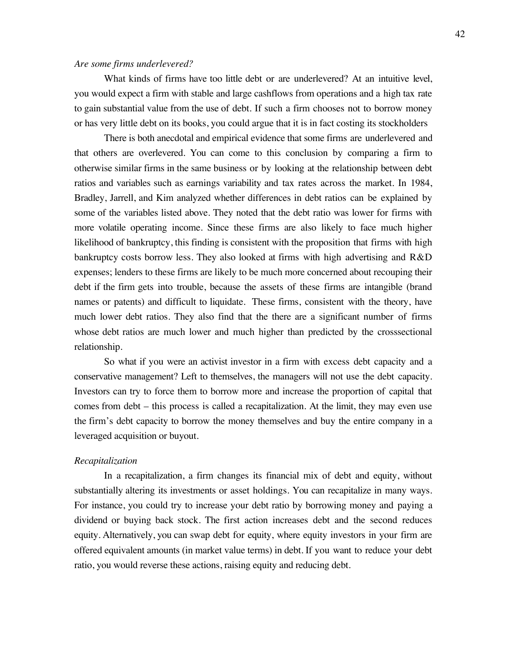### *Are some firms underlevered?*

What kinds of firms have too little debt or are underlevered? At an intuitive level, you would expect a firm with stable and large cashflows from operations and a high tax rate to gain substantial value from the use of debt. If such a firm chooses not to borrow money or has very little debt on its books, you could argue that it is in fact costing its stockholders

There is both anecdotal and empirical evidence that some firms are underlevered and that others are overlevered. You can come to this conclusion by comparing a firm to otherwise similar firms in the same business or by looking at the relationship between debt ratios and variables such as earnings variability and tax rates across the market. In 1984, Bradley, Jarrell, and Kim analyzed whether differences in debt ratios can be explained by some of the variables listed above. They noted that the debt ratio was lower for firms with more volatile operating income. Since these firms are also likely to face much higher likelihood of bankruptcy, this finding is consistent with the proposition that firms with high bankruptcy costs borrow less. They also looked at firms with high advertising and R&D expenses; lenders to these firms are likely to be much more concerned about recouping their debt if the firm gets into trouble, because the assets of these firms are intangible (brand names or patents) and difficult to liquidate. These firms, consistent with the theory, have much lower debt ratios. They also find that the there are a significant number of firms whose debt ratios are much lower and much higher than predicted by the crosssectional relationship.

So what if you were an activist investor in a firm with excess debt capacity and a conservative management? Left to themselves, the managers will not use the debt capacity. Investors can try to force them to borrow more and increase the proportion of capital that comes from debt – this process is called a recapitalization. At the limit, they may even use the firm's debt capacity to borrow the money themselves and buy the entire company in a leveraged acquisition or buyout.

#### *Recapitalization*

In a recapitalization, a firm changes its financial mix of debt and equity, without substantially altering its investments or asset holdings. You can recapitalize in many ways. For instance, you could try to increase your debt ratio by borrowing money and paying a dividend or buying back stock. The first action increases debt and the second reduces equity. Alternatively, you can swap debt for equity, where equity investors in your firm are offered equivalent amounts (in market value terms) in debt. If you want to reduce your debt ratio, you would reverse these actions, raising equity and reducing debt.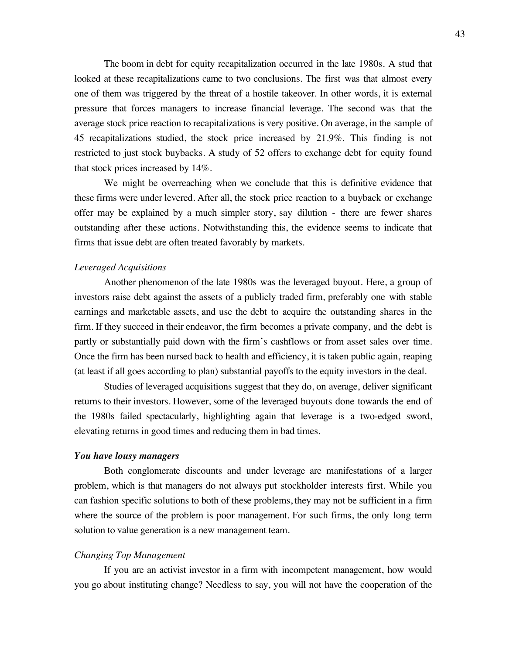The boom in debt for equity recapitalization occurred in the late 1980s. A stud that looked at these recapitalizations came to two conclusions. The first was that almost every one of them was triggered by the threat of a hostile takeover. In other words, it is external pressure that forces managers to increase financial leverage. The second was that the average stock price reaction to recapitalizations is very positive. On average, in the sample of 45 recapitalizations studied, the stock price increased by 21.9%. This finding is not restricted to just stock buybacks. A study of 52 offers to exchange debt for equity found that stock prices increased by 14%.

We might be overreaching when we conclude that this is definitive evidence that these firms were under levered. After all, the stock price reaction to a buyback or exchange offer may be explained by a much simpler story, say dilution - there are fewer shares outstanding after these actions. Notwithstanding this, the evidence seems to indicate that firms that issue debt are often treated favorably by markets.

#### *Leveraged Acquisitions*

Another phenomenon of the late 1980s was the leveraged buyout. Here, a group of investors raise debt against the assets of a publicly traded firm, preferably one with stable earnings and marketable assets, and use the debt to acquire the outstanding shares in the firm. If they succeed in their endeavor, the firm becomes a private company, and the debt is partly or substantially paid down with the firm's cashflows or from asset sales over time. Once the firm has been nursed back to health and efficiency, it is taken public again, reaping (at least if all goes according to plan) substantial payoffs to the equity investors in the deal.

Studies of leveraged acquisitions suggest that they do, on average, deliver significant returns to their investors. However, some of the leveraged buyouts done towards the end of the 1980s failed spectacularly, highlighting again that leverage is a two-edged sword, elevating returns in good times and reducing them in bad times.

#### *You have lousy managers*

Both conglomerate discounts and under leverage are manifestations of a larger problem, which is that managers do not always put stockholder interests first. While you can fashion specific solutions to both of these problems, they may not be sufficient in a firm where the source of the problem is poor management. For such firms, the only long term solution to value generation is a new management team.

### *Changing Top Management*

If you are an activist investor in a firm with incompetent management, how would you go about instituting change? Needless to say, you will not have the cooperation of the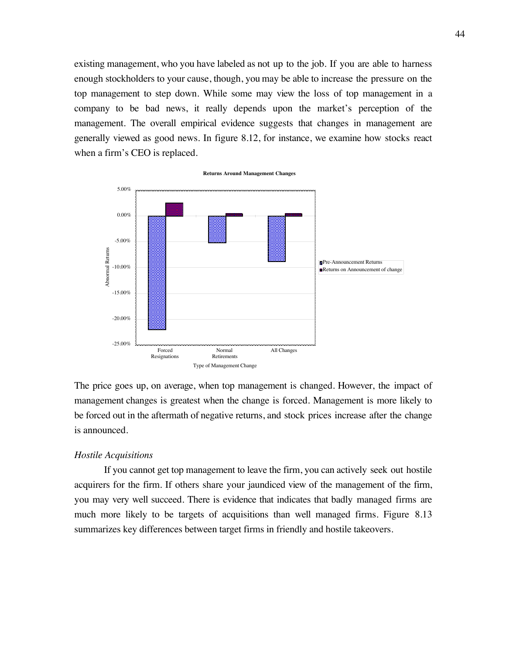existing management, who you have labeled as not up to the job. If you are able to harness enough stockholders to your cause, though, you may be able to increase the pressure on the top management to step down. While some may view the loss of top management in a company to be bad news, it really depends upon the market's perception of the management. The overall empirical evidence suggests that changes in management are generally viewed as good news. In figure 8.12, for instance, we examine how stocks react when a firm's CEO is replaced.



The price goes up, on average, when top management is changed. However, the impact of management changes is greatest when the change is forced. Management is more likely to be forced out in the aftermath of negative returns, and stock prices increase after the change is announced.

### *Hostile Acquisitions*

If you cannot get top management to leave the firm, you can actively seek out hostile acquirers for the firm. If others share your jaundiced view of the management of the firm, you may very well succeed. There is evidence that indicates that badly managed firms are much more likely to be targets of acquisitions than well managed firms. Figure 8.13 summarizes key differences between target firms in friendly and hostile takeovers.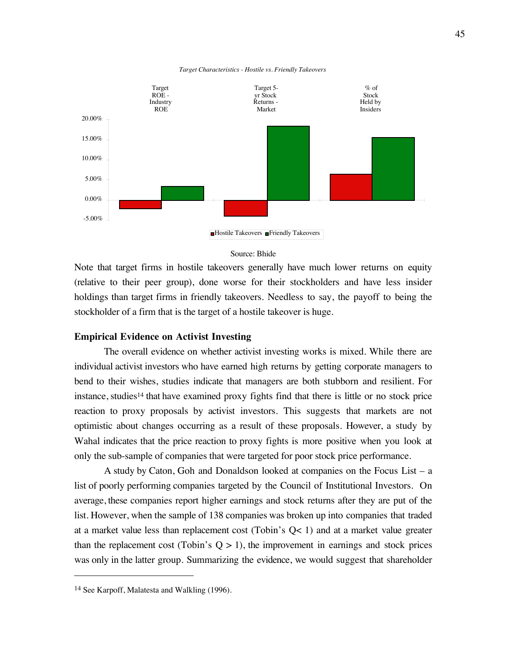



#### Source: Bhide

Note that target firms in hostile takeovers generally have much lower returns on equity (relative to their peer group), done worse for their stockholders and have less insider holdings than target firms in friendly takeovers. Needless to say, the payoff to being the stockholder of a firm that is the target of a hostile takeover is huge.

### **Empirical Evidence on Activist Investing**

The overall evidence on whether activist investing works is mixed. While there are individual activist investors who have earned high returns by getting corporate managers to bend to their wishes, studies indicate that managers are both stubborn and resilient. For instance, studies14 that have examined proxy fights find that there is little or no stock price reaction to proxy proposals by activist investors. This suggests that markets are not optimistic about changes occurring as a result of these proposals. However, a study by Wahal indicates that the price reaction to proxy fights is more positive when you look at only the sub-sample of companies that were targeted for poor stock price performance.

A study by Caton, Goh and Donaldson looked at companies on the Focus List – a list of poorly performing companies targeted by the Council of Institutional Investors. On average, these companies report higher earnings and stock returns after they are put of the list. However, when the sample of 138 companies was broken up into companies that traded at a market value less than replacement cost (Tobin's Q< 1) and at a market value greater than the replacement cost (Tobin's  $Q > 1$ ), the improvement in earnings and stock prices was only in the latter group. Summarizing the evidence, we would suggest that shareholder

 $\overline{a}$ 

<sup>14</sup> See Karpoff, Malatesta and Walkling (1996).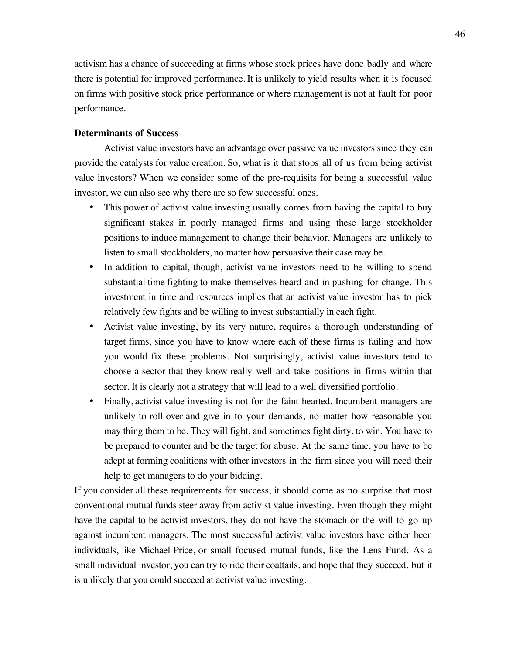activism has a chance of succeeding at firms whose stock prices have done badly and where there is potential for improved performance. It is unlikely to yield results when it is focused on firms with positive stock price performance or where management is not at fault for poor performance.

## **Determinants of Success**

Activist value investors have an advantage over passive value investors since they can provide the catalysts for value creation. So, what is it that stops all of us from being activist value investors? When we consider some of the pre-requisits for being a successful value investor, we can also see why there are so few successful ones.

- This power of activist value investing usually comes from having the capital to buy significant stakes in poorly managed firms and using these large stockholder positions to induce management to change their behavior. Managers are unlikely to listen to small stockholders, no matter how persuasive their case may be.
- In addition to capital, though, activist value investors need to be willing to spend substantial time fighting to make themselves heard and in pushing for change. This investment in time and resources implies that an activist value investor has to pick relatively few fights and be willing to invest substantially in each fight.
- Activist value investing, by its very nature, requires a thorough understanding of target firms, since you have to know where each of these firms is failing and how you would fix these problems. Not surprisingly, activist value investors tend to choose a sector that they know really well and take positions in firms within that sector. It is clearly not a strategy that will lead to a well diversified portfolio.
- Finally, activist value investing is not for the faint hearted. Incumbent managers are unlikely to roll over and give in to your demands, no matter how reasonable you may thing them to be. They will fight, and sometimes fight dirty, to win. You have to be prepared to counter and be the target for abuse. At the same time, you have to be adept at forming coalitions with other investors in the firm since you will need their help to get managers to do your bidding.

If you consider all these requirements for success, it should come as no surprise that most conventional mutual funds steer away from activist value investing. Even though they might have the capital to be activist investors, they do not have the stomach or the will to go up against incumbent managers. The most successful activist value investors have either been individuals, like Michael Price, or small focused mutual funds, like the Lens Fund. As a small individual investor, you can try to ride their coattails, and hope that they succeed, but it is unlikely that you could succeed at activist value investing.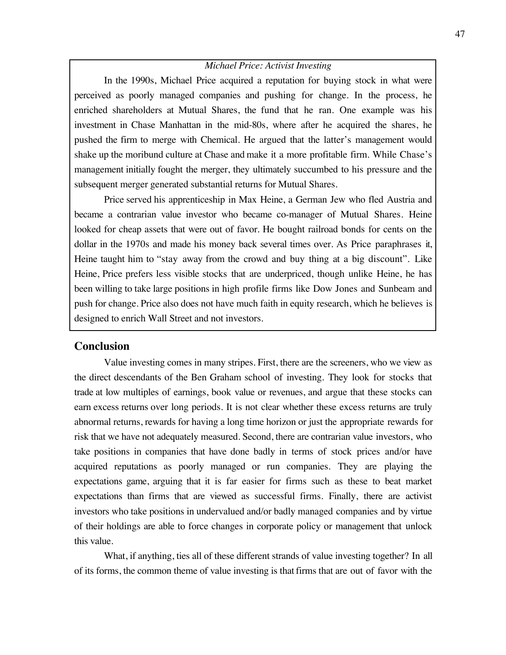### *Michael Price: Activist Investing*

In the 1990s, Michael Price acquired a reputation for buying stock in what were perceived as poorly managed companies and pushing for change. In the process, he enriched shareholders at Mutual Shares, the fund that he ran. One example was his investment in Chase Manhattan in the mid-80s, where after he acquired the shares, he pushed the firm to merge with Chemical. He argued that the latter's management would shake up the moribund culture at Chase and make it a more profitable firm. While Chase's management initially fought the merger, they ultimately succumbed to his pressure and the subsequent merger generated substantial returns for Mutual Shares.

Price served his apprenticeship in Max Heine, a German Jew who fled Austria and became a contrarian value investor who became co-manager of Mutual Shares. Heine looked for cheap assets that were out of favor. He bought railroad bonds for cents on the dollar in the 1970s and made his money back several times over. As Price paraphrases it, Heine taught him to "stay away from the crowd and buy thing at a big discount". Like Heine, Price prefers less visible stocks that are underpriced, though unlike Heine, he has been willing to take large positions in high profile firms like Dow Jones and Sunbeam and push for change. Price also does not have much faith in equity research, which he believes is designed to enrich Wall Street and not investors.

## **Conclusion**

Value investing comes in many stripes. First, there are the screeners, who we view as the direct descendants of the Ben Graham school of investing. They look for stocks that trade at low multiples of earnings, book value or revenues, and argue that these stocks can earn excess returns over long periods. It is not clear whether these excess returns are truly abnormal returns, rewards for having a long time horizon or just the appropriate rewards for risk that we have not adequately measured. Second, there are contrarian value investors, who take positions in companies that have done badly in terms of stock prices and/or have acquired reputations as poorly managed or run companies. They are playing the expectations game, arguing that it is far easier for firms such as these to beat market expectations than firms that are viewed as successful firms. Finally, there are activist investors who take positions in undervalued and/or badly managed companies and by virtue of their holdings are able to force changes in corporate policy or management that unlock this value.

What, if anything, ties all of these different strands of value investing together? In all of its forms, the common theme of value investing is that firms that are out of favor with the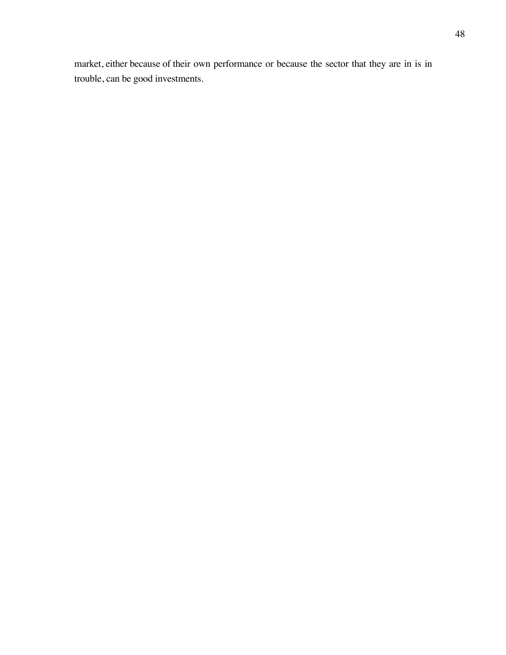market, either because of their own performance or because the sector that they are in is in trouble, can be good investments.